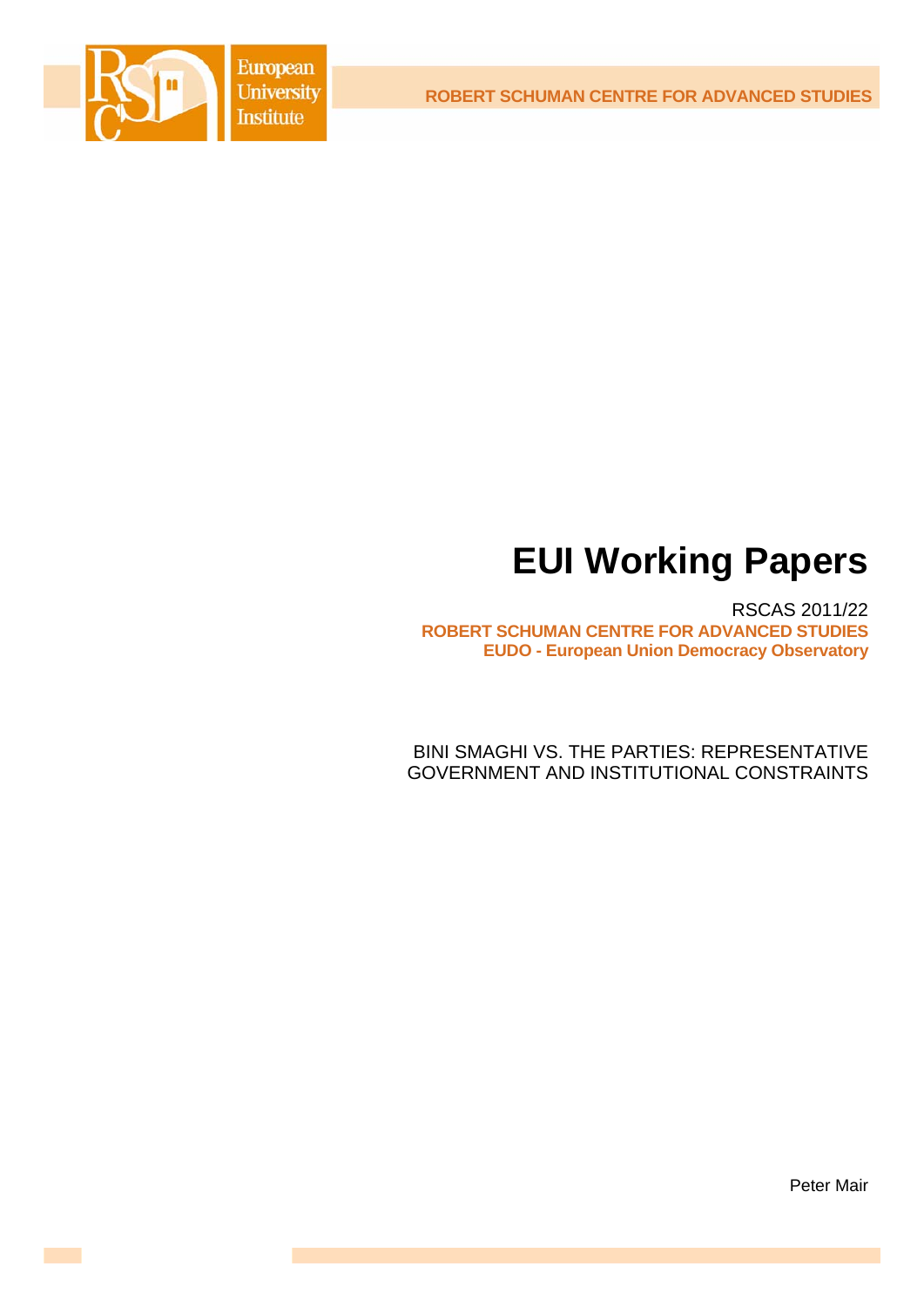

# **EUI Working Papers**

RSCAS 2011/22 **ROBERT SCHUMAN CENTRE FOR ADVANCED STUDIES EUDO - European Union Democracy Observatory**

BINI SMAGHI VS. THE PARTIES: REPRESENTATIVE GOVERNMENT AND INSTITUTIONAL CONSTRAINTS

Peter Mair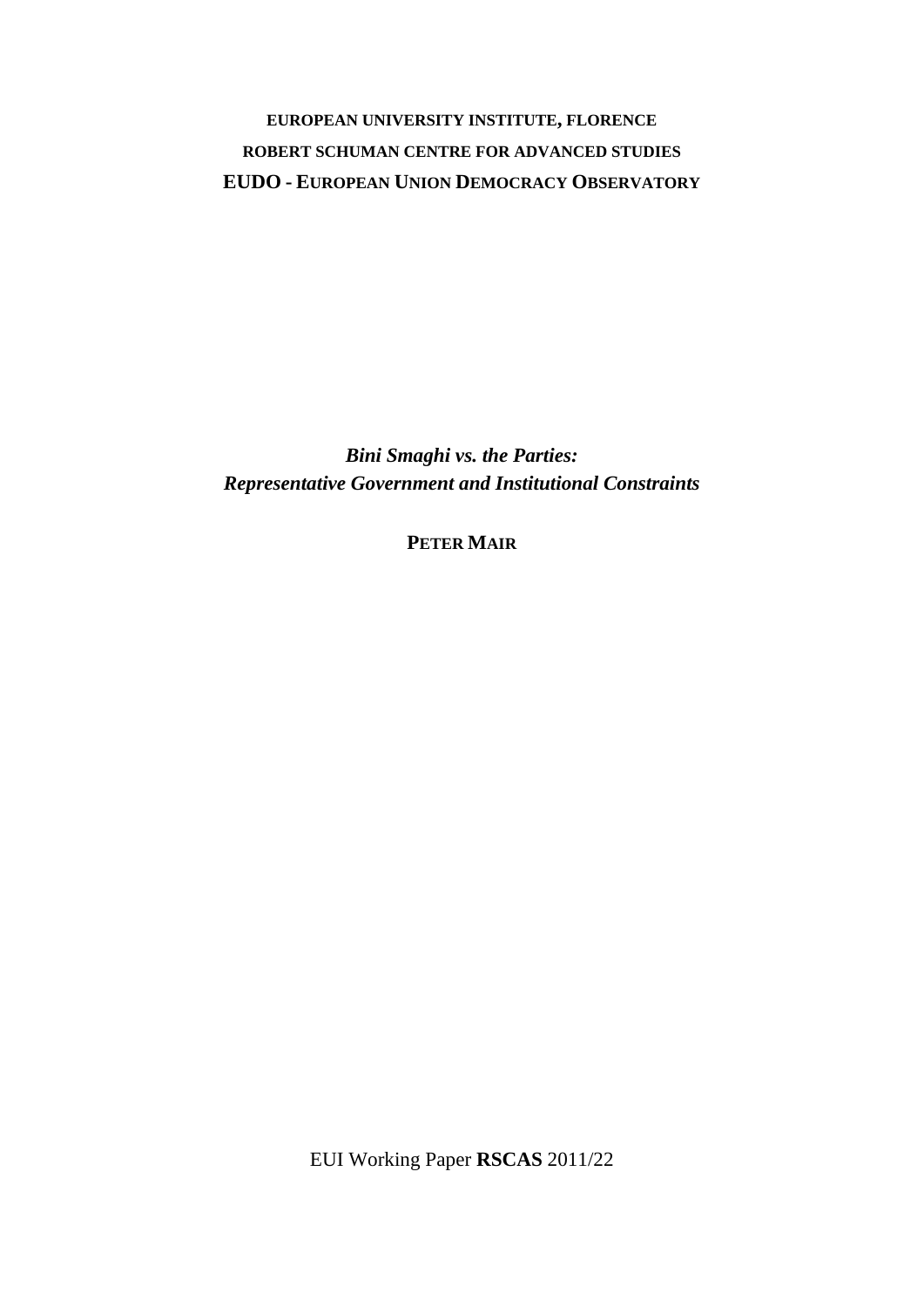# **EUROPEAN UNIVERSITY INSTITUTE, FLORENCE ROBERT SCHUMAN CENTRE FOR ADVANCED STUDIES EUDO - EUROPEAN UNION DEMOCRACY OBSERVATORY**

*Bini Smaghi vs. the Parties: Representative Government and Institutional Constraints* 

**PETER MAIR**

EUI Working Paper **RSCAS** 2011/22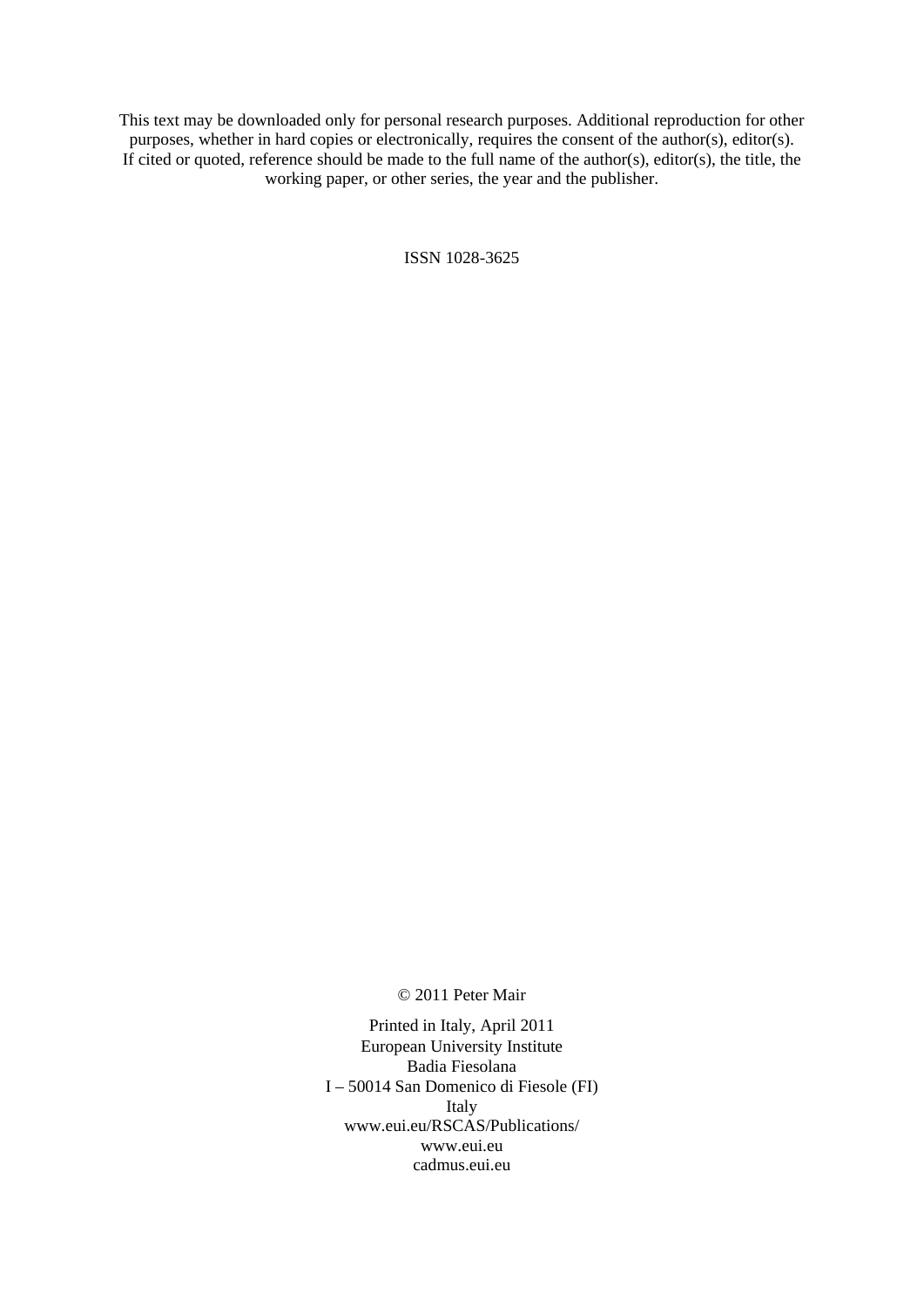This text may be downloaded only for personal research purposes. Additional reproduction for other purposes, whether in hard copies or electronically, requires the consent of the author(s), editor(s). If cited or quoted, reference should be made to the full name of the author(s), editor(s), the title, the working paper, or other series, the year and the publisher.

ISSN 1028-3625

© 2011 Peter Mair

Printed in Italy, April 2011 European University Institute Badia Fiesolana I – 50014 San Domenico di Fiesole (FI) Italy [www.eui.eu/RSCAS/Publications/](http://www.eui.eu/RSCAS/Publications/)  [www.eui.eu](http://www.eui.eu)  cadmus.eui.eu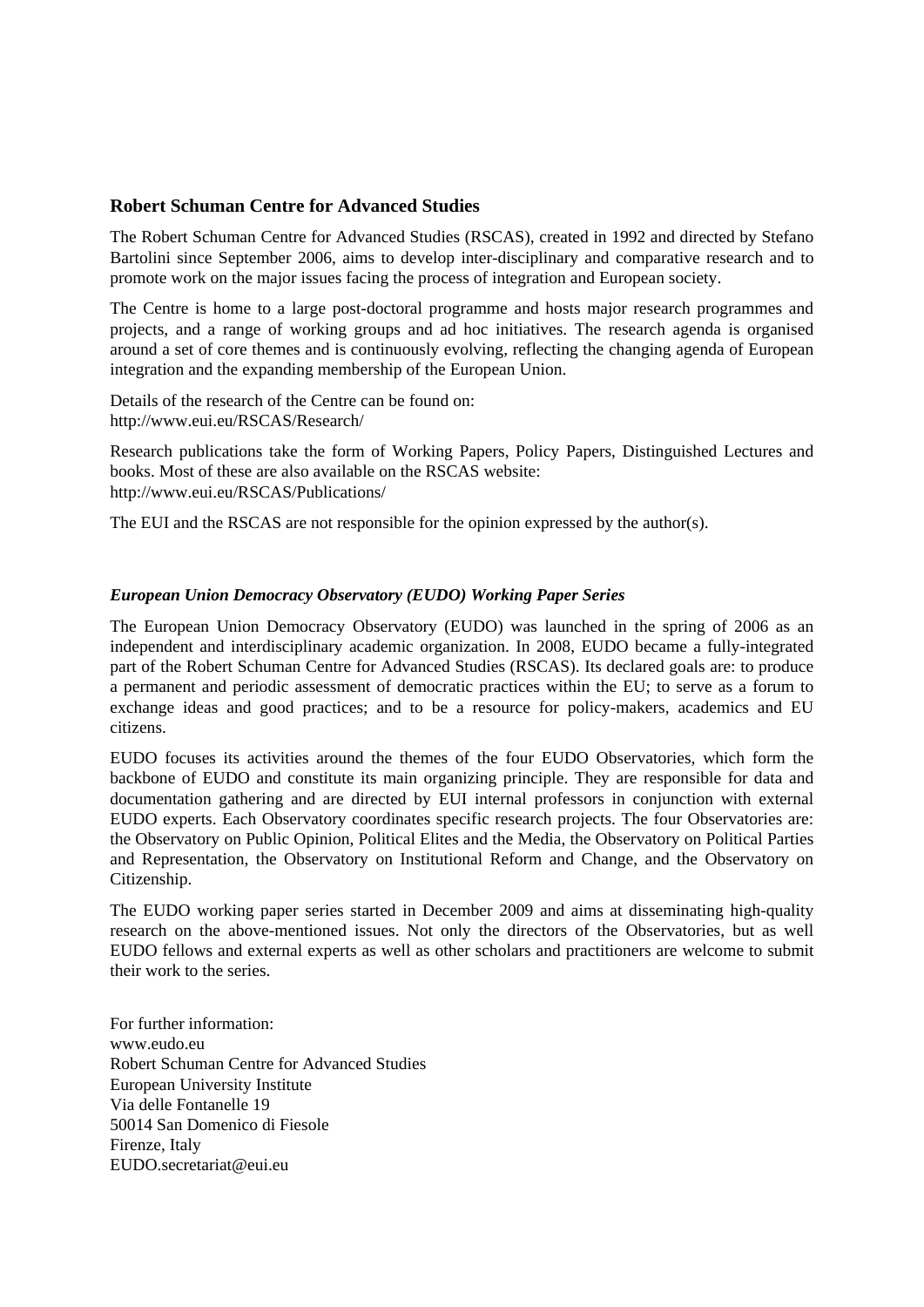# **Robert Schuman Centre for Advanced Studies**

The Robert Schuman Centre for Advanced Studies (RSCAS), created in 1992 and directed by Stefano Bartolini since September 2006, aims to develop inter-disciplinary and comparative research and to promote work on the major issues facing the process of integration and European society.

The Centre is home to a large post-doctoral programme and hosts major research programmes and projects, and a range of working groups and ad hoc initiatives. The research agenda is organised around a set of core themes and is continuously evolving, reflecting the changing agenda of European integration and the expanding membership of the European Union.

Details of the research of the Centre can be found on: <http://www.eui.eu/RSCAS/Research/>

Research publications take the form of Working Papers, Policy Papers, Distinguished Lectures and books. Most of these are also available on the RSCAS website: <http://www.eui.eu/RSCAS/Publications/>

The EUI and the RSCAS are not responsible for the opinion expressed by the author(s).

## *European Union Democracy Observatory (EUDO) Working Paper Series*

The European Union Democracy Observatory (EUDO) was launched in the spring of 2006 as an independent and interdisciplinary academic organization. In 2008, EUDO became a fully-integrated part of the Robert Schuman Centre for Advanced Studies (RSCAS). Its declared goals are: to produce a permanent and periodic assessment of democratic practices within the EU; to serve as a forum to exchange ideas and good practices; and to be a resource for policy-makers, academics and EU citizens.

EUDO focuses its activities around the themes of the four EUDO Observatories, which form the backbone of EUDO and constitute its main organizing principle. They are responsible for data and documentation gathering and are directed by EUI internal professors in conjunction with external EUDO experts. Each Observatory coordinates specific research projects. The four Observatories are: the Observatory on Public Opinion, Political Elites and the Media, the Observatory on Political Parties and Representation, the Observatory on Institutional Reform and Change, and the Observatory on Citizenship.

The EUDO working paper series started in December 2009 and aims at disseminating high-quality research on the above-mentioned issues. Not only the directors of the Observatories, but as well EUDO fellows and external experts as well as other scholars and practitioners are welcome to submit their work to the series.

For further information: [www.eudo.eu](http://www.eudo.eu)  Robert Schuman Centre for Advanced Studies European University Institute Via delle Fontanelle 19 50014 San Domenico di Fiesole Firenze, Italy [EUDO.secretariat@eui.eu](mailto:EUDO.secretariat@eui.eu)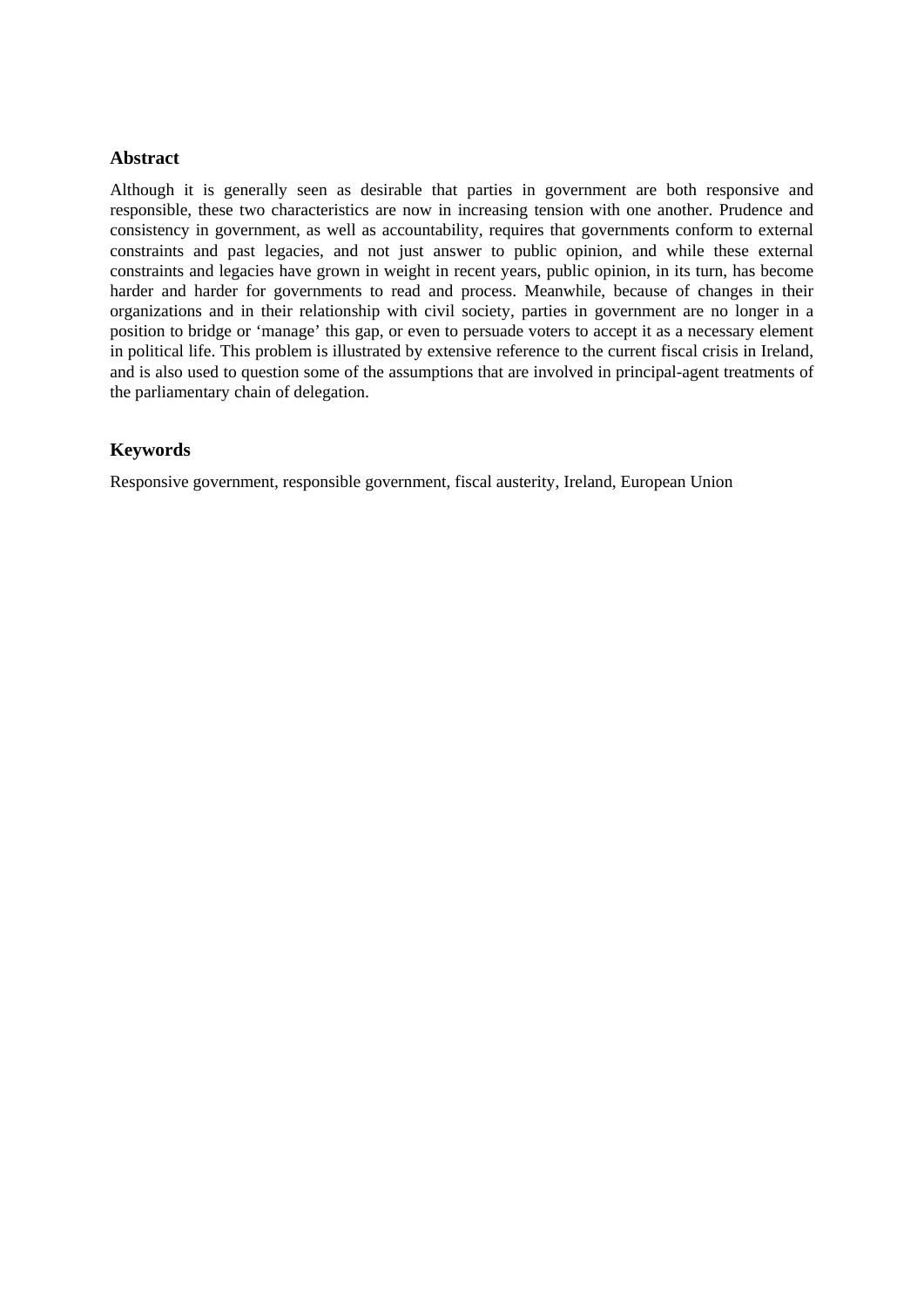# **Abstract**

Although it is generally seen as desirable that parties in government are both responsive and responsible, these two characteristics are now in increasing tension with one another. Prudence and consistency in government, as well as accountability, requires that governments conform to external constraints and past legacies, and not just answer to public opinion, and while these external constraints and legacies have grown in weight in recent years, public opinion, in its turn, has become harder and harder for governments to read and process. Meanwhile, because of changes in their organizations and in their relationship with civil society, parties in government are no longer in a position to bridge or 'manage' this gap, or even to persuade voters to accept it as a necessary element in political life. This problem is illustrated by extensive reference to the current fiscal crisis in Ireland, and is also used to question some of the assumptions that are involved in principal-agent treatments of the parliamentary chain of delegation.

# **Keywords**

Responsive government, responsible government, fiscal austerity, Ireland, European Union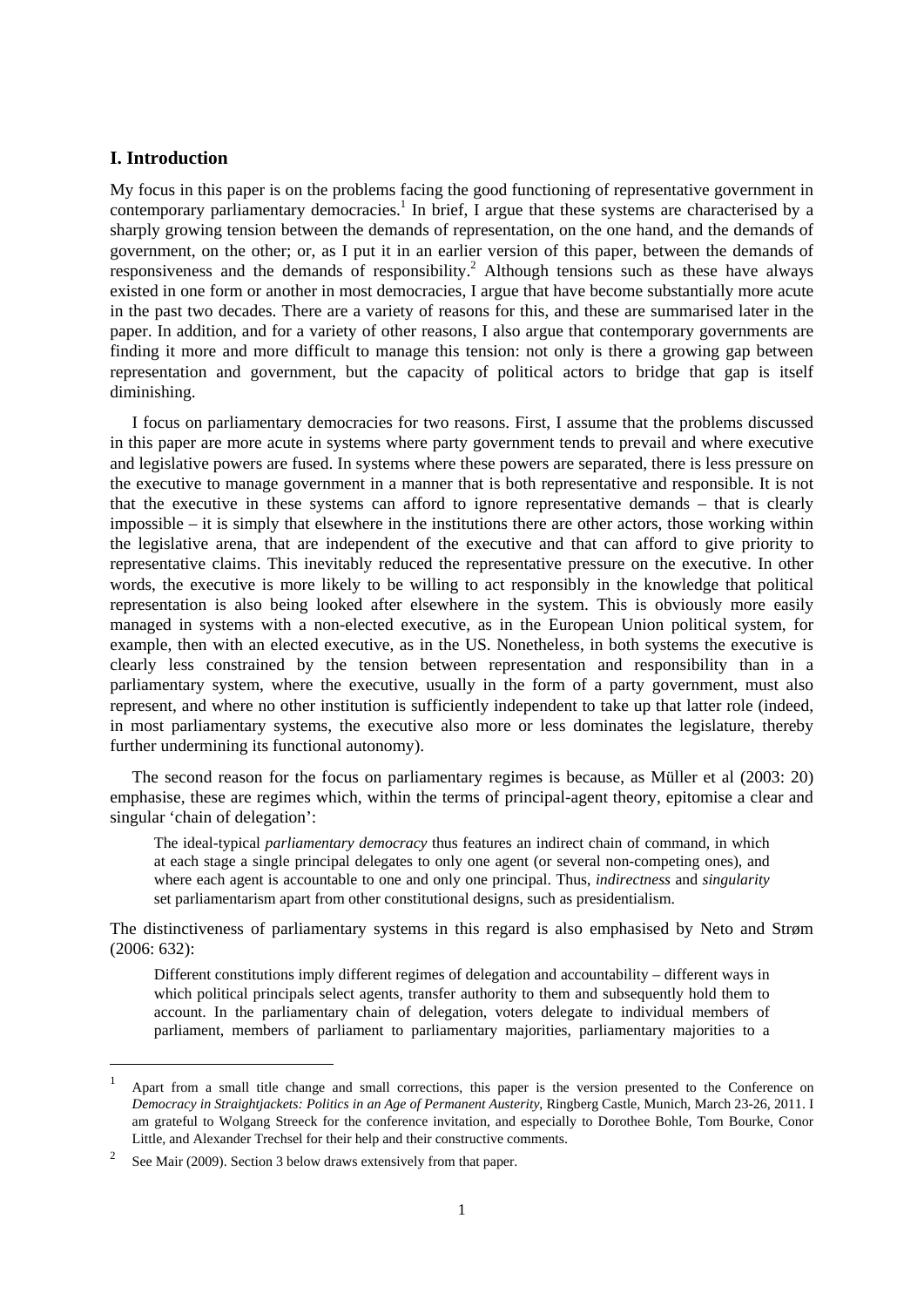### **I. Introduction**

My focus in this paper is on the problems facing the good functioning of representative government in contemporary parliamentary democracies.<sup>1</sup> In brief, I argue that these systems are characterised by a sharply growing tension between the demands of representation, on the one hand, and the demands of government, on the other; or, as I put it in an earlier version of this paper, between the demands of responsiveness and the demands of responsibility.<sup>2</sup> Although tensions such as these have always existed in one form or another in most democracies, I argue that have become substantially more acute in the past two decades. There are a variety of reasons for this, and these are summarised later in the paper. In addition, and for a variety of other reasons, I also argue that contemporary governments are finding it more and more difficult to manage this tension: not only is there a growing gap between representation and government, but the capacity of political actors to bridge that gap is itself diminishing.

I focus on parliamentary democracies for two reasons. First, I assume that the problems discussed in this paper are more acute in systems where party government tends to prevail and where executive and legislative powers are fused. In systems where these powers are separated, there is less pressure on the executive to manage government in a manner that is both representative and responsible. It is not that the executive in these systems can afford to ignore representative demands – that is clearly impossible – it is simply that elsewhere in the institutions there are other actors, those working within the legislative arena, that are independent of the executive and that can afford to give priority to representative claims. This inevitably reduced the representative pressure on the executive. In other words, the executive is more likely to be willing to act responsibly in the knowledge that political representation is also being looked after elsewhere in the system. This is obviously more easily managed in systems with a non-elected executive, as in the European Union political system, for example, then with an elected executive, as in the US. Nonetheless, in both systems the executive is clearly less constrained by the tension between representation and responsibility than in a parliamentary system, where the executive, usually in the form of a party government, must also represent, and where no other institution is sufficiently independent to take up that latter role (indeed, in most parliamentary systems, the executive also more or less dominates the legislature, thereby further undermining its functional autonomy).

The second reason for the focus on parliamentary regimes is because, as Müller et al (2003: 20) emphasise, these are regimes which, within the terms of principal-agent theory, epitomise a clear and singular 'chain of delegation':

The ideal-typical *parliamentary democracy* thus features an indirect chain of command, in which at each stage a single principal delegates to only one agent (or several non-competing ones), and where each agent is accountable to one and only one principal. Thus, *indirectness* and *singularity* set parliamentarism apart from other constitutional designs, such as presidentialism.

The distinctiveness of parliamentary systems in this regard is also emphasised by Neto and Strøm (2006: 632):

Different constitutions imply different regimes of delegation and accountability – different ways in which political principals select agents, transfer authority to them and subsequently hold them to account. In the parliamentary chain of delegation, voters delegate to individual members of parliament, members of parliament to parliamentary majorities, parliamentary majorities to a

<sup>1</sup> Apart from a small title change and small corrections, this paper is the version presented to the Conference on *Democracy in Straightjackets: Politics in an Age of Permanent Austerity*, Ringberg Castle, Munich, March 23-26, 2011. I am grateful to Wolgang Streeck for the conference invitation, and especially to Dorothee Bohle, Tom Bourke, Conor Little, and Alexander Trechsel for their help and their constructive comments.

<sup>2</sup> See Mair (2009). Section 3 below draws extensively from that paper.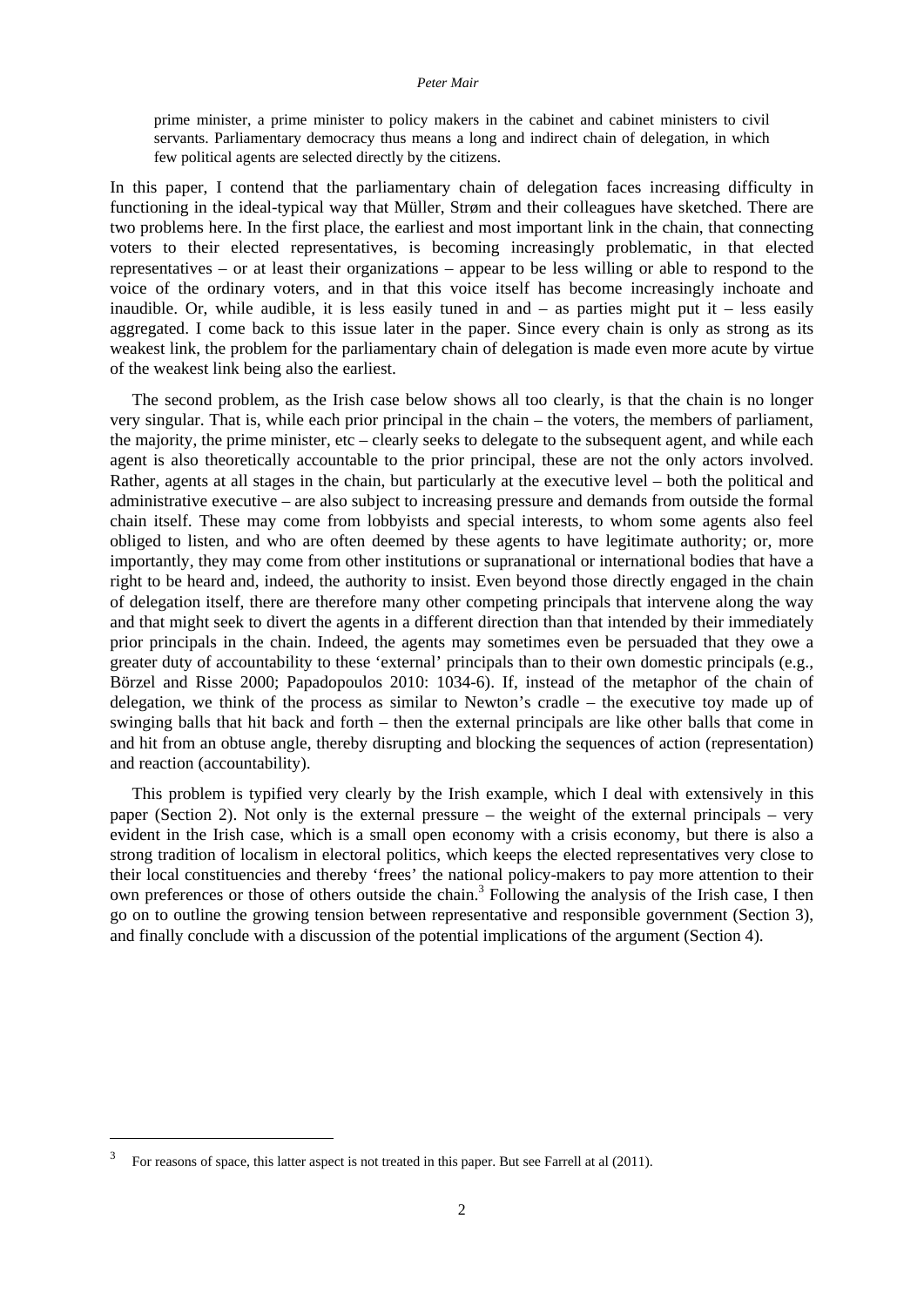#### *Peter Mair*

prime minister, a prime minister to policy makers in the cabinet and cabinet ministers to civil servants. Parliamentary democracy thus means a long and indirect chain of delegation, in which few political agents are selected directly by the citizens.

In this paper, I contend that the parliamentary chain of delegation faces increasing difficulty in functioning in the ideal-typical way that Müller, Strøm and their colleagues have sketched. There are two problems here. In the first place, the earliest and most important link in the chain, that connecting voters to their elected representatives, is becoming increasingly problematic, in that elected representatives – or at least their organizations – appear to be less willing or able to respond to the voice of the ordinary voters, and in that this voice itself has become increasingly inchoate and inaudible. Or, while audible, it is less easily tuned in and  $-$  as parties might put it  $-$  less easily aggregated. I come back to this issue later in the paper. Since every chain is only as strong as its weakest link, the problem for the parliamentary chain of delegation is made even more acute by virtue of the weakest link being also the earliest.

The second problem, as the Irish case below shows all too clearly, is that the chain is no longer very singular. That is, while each prior principal in the chain – the voters, the members of parliament, the majority, the prime minister, etc – clearly seeks to delegate to the subsequent agent, and while each agent is also theoretically accountable to the prior principal, these are not the only actors involved. Rather, agents at all stages in the chain, but particularly at the executive level – both the political and administrative executive – are also subject to increasing pressure and demands from outside the formal chain itself. These may come from lobbyists and special interests, to whom some agents also feel obliged to listen, and who are often deemed by these agents to have legitimate authority; or, more importantly, they may come from other institutions or supranational or international bodies that have a right to be heard and, indeed, the authority to insist. Even beyond those directly engaged in the chain of delegation itself, there are therefore many other competing principals that intervene along the way and that might seek to divert the agents in a different direction than that intended by their immediately prior principals in the chain. Indeed, the agents may sometimes even be persuaded that they owe a greater duty of accountability to these 'external' principals than to their own domestic principals (e.g., Börzel and Risse 2000; Papadopoulos 2010: 1034-6). If, instead of the metaphor of the chain of delegation, we think of the process as similar to Newton's cradle – the executive toy made up of swinging balls that hit back and forth – then the external principals are like other balls that come in and hit from an obtuse angle, thereby disrupting and blocking the sequences of action (representation) and reaction (accountability).

This problem is typified very clearly by the Irish example, which I deal with extensively in this paper (Section 2). Not only is the external pressure – the weight of the external principals – very evident in the Irish case, which is a small open economy with a crisis economy, but there is also a strong tradition of localism in electoral politics, which keeps the elected representatives very close to their local constituencies and thereby 'frees' the national policy-makers to pay more attention to their own preferences or those of others outside the chain.<sup>3</sup> Following the analysis of the Irish case, I then go on to outline the growing tension between representative and responsible government (Section 3), and finally conclude with a discussion of the potential implications of the argument (Section 4).

<sup>3</sup> For reasons of space, this latter aspect is not treated in this paper. But see Farrell at al (2011).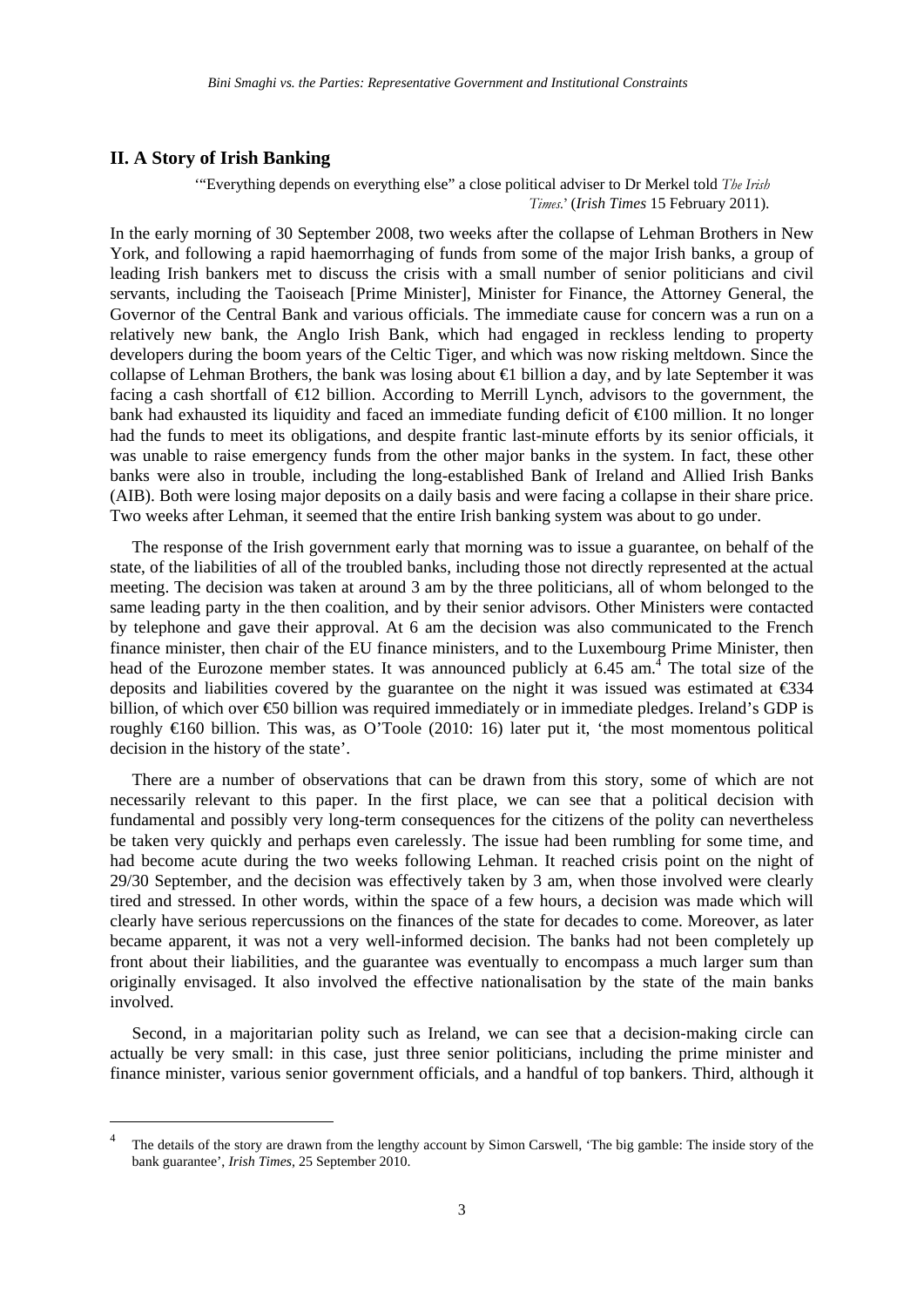#### **II. A Story of Irish Banking**

-

'"Everything depends on everything else" a close political adviser to Dr Merkel told *The Irish Times.*' (*Irish Times* 15 February 2011).

In the early morning of 30 September 2008, two weeks after the collapse of Lehman Brothers in New York, and following a rapid haemorrhaging of funds from some of the major Irish banks, a group of leading Irish bankers met to discuss the crisis with a small number of senior politicians and civil servants, including the Taoiseach [Prime Minister], Minister for Finance, the Attorney General, the Governor of the Central Bank and various officials. The immediate cause for concern was a run on a relatively new bank, the Anglo Irish Bank, which had engaged in reckless lending to property developers during the boom years of the Celtic Tiger, and which was now risking meltdown. Since the collapse of Lehman Brothers, the bank was losing about  $\bigoplus$  billion a day, and by late September it was facing a cash shortfall of  $\bigoplus$ 2 billion. According to Merrill Lynch, advisors to the government, the bank had exhausted its liquidity and faced an immediate funding deficit of €100 million. It no longer had the funds to meet its obligations, and despite frantic last-minute efforts by its senior officials, it was unable to raise emergency funds from the other major banks in the system. In fact, these other banks were also in trouble, including the long-established Bank of Ireland and Allied Irish Banks (AIB). Both were losing major deposits on a daily basis and were facing a collapse in their share price. Two weeks after Lehman, it seemed that the entire Irish banking system was about to go under.

The response of the Irish government early that morning was to issue a guarantee, on behalf of the state, of the liabilities of all of the troubled banks, including those not directly represented at the actual meeting. The decision was taken at around 3 am by the three politicians, all of whom belonged to the same leading party in the then coalition, and by their senior advisors. Other Ministers were contacted by telephone and gave their approval. At 6 am the decision was also communicated to the French finance minister, then chair of the EU finance ministers, and to the Luxembourg Prime Minister, then head of the Eurozone member states. It was announced publicly at  $6.45$  am.<sup>4</sup> The total size of the deposits and liabilities covered by the guarantee on the night it was issued was estimated at  $\epsilon$ 334 billion, of which over €50 billion was required immediately or in immediate pledges. Ireland's GDP is roughly  $\in$  60 billion. This was, as O'Toole (2010: 16) later put it, 'the most momentous political decision in the history of the state'.

There are a number of observations that can be drawn from this story, some of which are not necessarily relevant to this paper. In the first place, we can see that a political decision with fundamental and possibly very long-term consequences for the citizens of the polity can nevertheless be taken very quickly and perhaps even carelessly. The issue had been rumbling for some time, and had become acute during the two weeks following Lehman. It reached crisis point on the night of 29/30 September, and the decision was effectively taken by 3 am, when those involved were clearly tired and stressed. In other words, within the space of a few hours, a decision was made which will clearly have serious repercussions on the finances of the state for decades to come. Moreover, as later became apparent, it was not a very well-informed decision. The banks had not been completely up front about their liabilities, and the guarantee was eventually to encompass a much larger sum than originally envisaged. It also involved the effective nationalisation by the state of the main banks involved.

Second, in a majoritarian polity such as Ireland, we can see that a decision-making circle can actually be very small: in this case, just three senior politicians, including the prime minister and finance minister, various senior government officials, and a handful of top bankers. Third, although it

<sup>4</sup> The details of the story are drawn from the lengthy account by Simon Carswell, 'The big gamble: The inside story of the bank guarantee', *Irish Times*, 25 September 2010.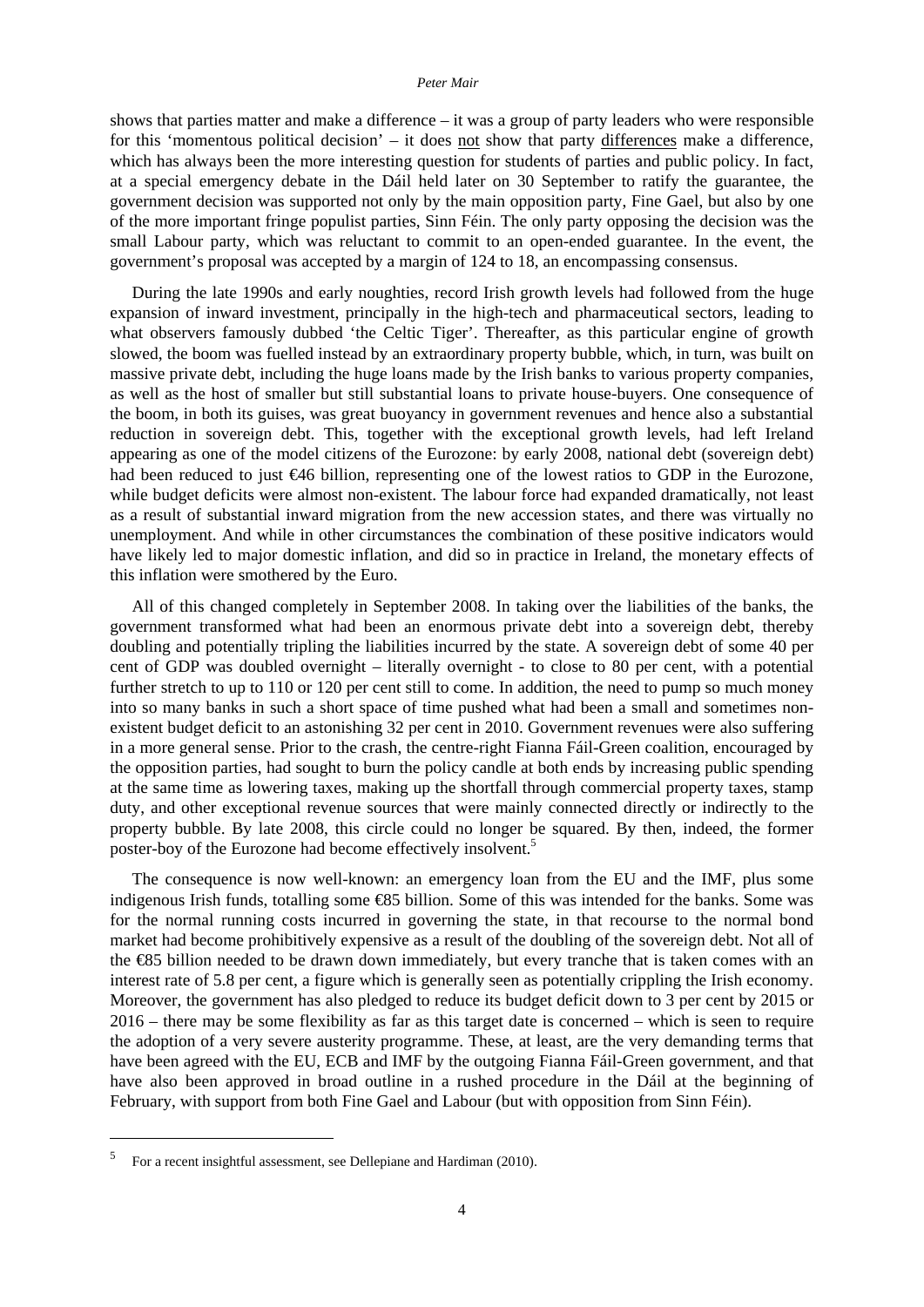#### *Peter Mair*

shows that parties matter and make a difference – it was a group of party leaders who were responsible for this 'momentous political decision' – it does not show that party differences make a difference, which has always been the more interesting question for students of parties and public policy. In fact, at a special emergency debate in the Dáil held later on 30 September to ratify the guarantee, the government decision was supported not only by the main opposition party, Fine Gael, but also by one of the more important fringe populist parties, Sinn Féin. The only party opposing the decision was the small Labour party, which was reluctant to commit to an open-ended guarantee. In the event, the government's proposal was accepted by a margin of 124 to 18, an encompassing consensus.

During the late 1990s and early noughties, record Irish growth levels had followed from the huge expansion of inward investment, principally in the high-tech and pharmaceutical sectors, leading to what observers famously dubbed 'the Celtic Tiger'. Thereafter, as this particular engine of growth slowed, the boom was fuelled instead by an extraordinary property bubble, which, in turn, was built on massive private debt, including the huge loans made by the Irish banks to various property companies, as well as the host of smaller but still substantial loans to private house-buyers. One consequence of the boom, in both its guises, was great buoyancy in government revenues and hence also a substantial reduction in sovereign debt. This, together with the exceptional growth levels, had left Ireland appearing as one of the model citizens of the Eurozone: by early 2008, national debt (sovereign debt) had been reduced to just  $\epsilon$ 46 billion, representing one of the lowest ratios to GDP in the Eurozone, while budget deficits were almost non-existent. The labour force had expanded dramatically, not least as a result of substantial inward migration from the new accession states, and there was virtually no unemployment. And while in other circumstances the combination of these positive indicators would have likely led to major domestic inflation, and did so in practice in Ireland, the monetary effects of this inflation were smothered by the Euro.

All of this changed completely in September 2008. In taking over the liabilities of the banks, the government transformed what had been an enormous private debt into a sovereign debt, thereby doubling and potentially tripling the liabilities incurred by the state. A sovereign debt of some 40 per cent of GDP was doubled overnight – literally overnight - to close to 80 per cent, with a potential further stretch to up to 110 or 120 per cent still to come. In addition, the need to pump so much money into so many banks in such a short space of time pushed what had been a small and sometimes nonexistent budget deficit to an astonishing 32 per cent in 2010. Government revenues were also suffering in a more general sense. Prior to the crash, the centre-right Fianna Fáil-Green coalition, encouraged by the opposition parties, had sought to burn the policy candle at both ends by increasing public spending at the same time as lowering taxes, making up the shortfall through commercial property taxes, stamp duty, and other exceptional revenue sources that were mainly connected directly or indirectly to the property bubble. By late 2008, this circle could no longer be squared. By then, indeed, the former poster-boy of the Eurozone had become effectively insolvent.5

The consequence is now well-known: an emergency loan from the EU and the IMF, plus some indigenous Irish funds, totalling some €85 billion. Some of this was intended for the banks. Some was for the normal running costs incurred in governing the state, in that recourse to the normal bond market had become prohibitively expensive as a result of the doubling of the sovereign debt. Not all of the €85 billion needed to be drawn down immediately, but every tranche that is taken comes with an interest rate of 5.8 per cent, a figure which is generally seen as potentially crippling the Irish economy. Moreover, the government has also pledged to reduce its budget deficit down to 3 per cent by 2015 or 2016 – there may be some flexibility as far as this target date is concerned – which is seen to require the adoption of a very severe austerity programme. These, at least, are the very demanding terms that have been agreed with the EU, ECB and IMF by the outgoing Fianna Fáil-Green government, and that have also been approved in broad outline in a rushed procedure in the Dáil at the beginning of February, with support from both Fine Gael and Labour (but with opposition from Sinn Féin).

<sup>5</sup> For a recent insightful assessment, see Dellepiane and Hardiman (2010).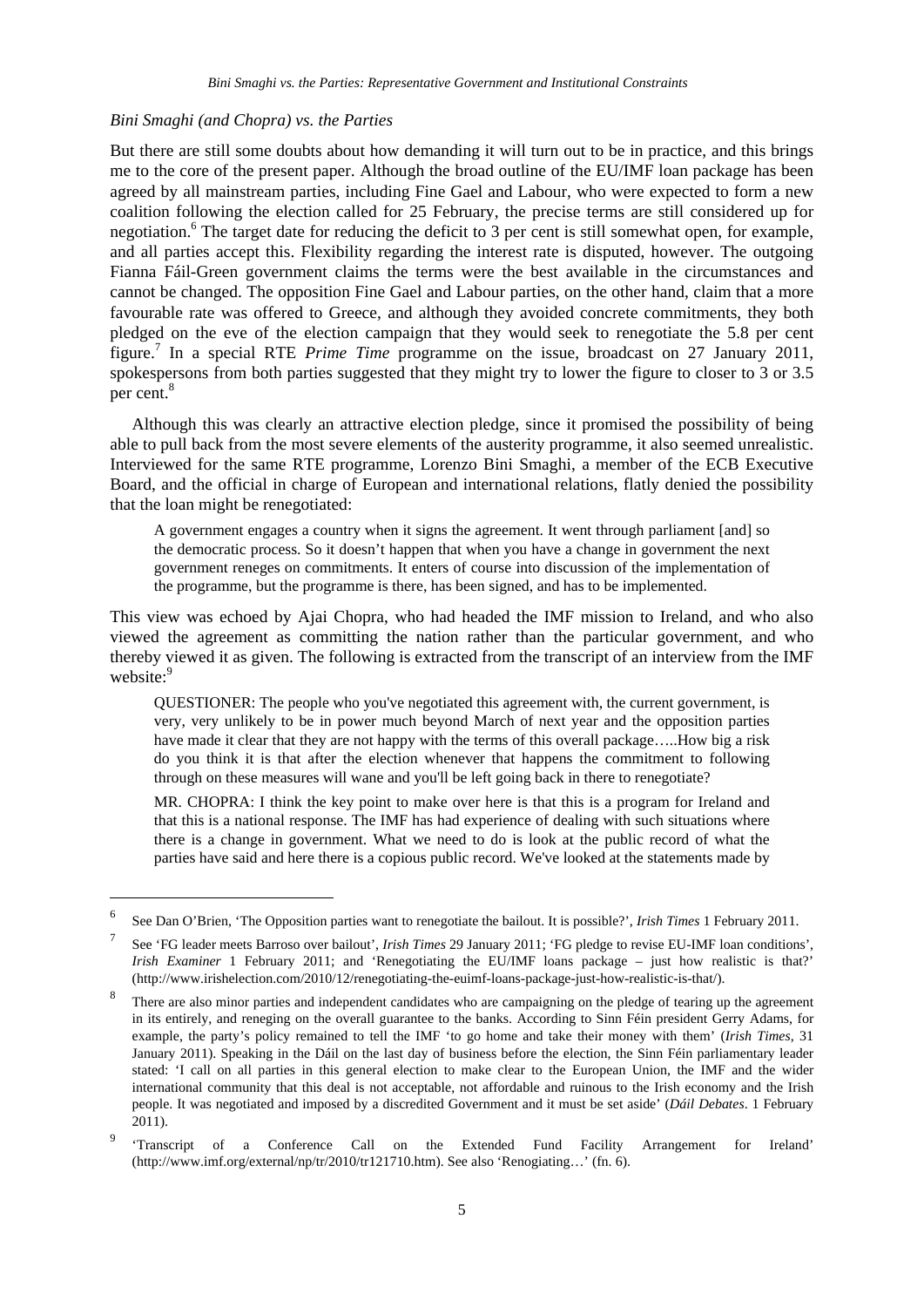#### *Bini Smaghi (and Chopra) vs. the Parties*

-

But there are still some doubts about how demanding it will turn out to be in practice, and this brings me to the core of the present paper. Although the broad outline of the EU/IMF loan package has been agreed by all mainstream parties, including Fine Gael and Labour, who were expected to form a new coalition following the election called for 25 February, the precise terms are still considered up for negotiation.<sup>6</sup> The target date for reducing the deficit to 3 per cent is still somewhat open, for example, and all parties accept this. Flexibility regarding the interest rate is disputed, however. The outgoing Fianna Fáil-Green government claims the terms were the best available in the circumstances and cannot be changed. The opposition Fine Gael and Labour parties, on the other hand, claim that a more favourable rate was offered to Greece, and although they avoided concrete commitments, they both pledged on the eve of the election campaign that they would seek to renegotiate the 5.8 per cent figure.<sup>7</sup> In a special RTE *Prime Time* programme on the issue, broadcast on 27 January 2011, spokespersons from both parties suggested that they might try to lower the figure to closer to 3 or 3.5 per cent.<sup>8</sup>

Although this was clearly an attractive election pledge, since it promised the possibility of being able to pull back from the most severe elements of the austerity programme, it also seemed unrealistic. Interviewed for the same RTE programme, Lorenzo Bini Smaghi, a member of the ECB Executive Board, and the official in charge of European and international relations, flatly denied the possibility that the loan might be renegotiated:

A government engages a country when it signs the agreement. It went through parliament [and] so the democratic process. So it doesn't happen that when you have a change in government the next government reneges on commitments. It enters of course into discussion of the implementation of the programme, but the programme is there, has been signed, and has to be implemented.

This view was echoed by Ajai Chopra, who had headed the IMF mission to Ireland, and who also viewed the agreement as committing the nation rather than the particular government, and who thereby viewed it as given. The following is extracted from the transcript of an interview from the IMF website:<sup>9</sup>

QUESTIONER: The people who you've negotiated this agreement with, the current government, is very, very unlikely to be in power much beyond March of next year and the opposition parties have made it clear that they are not happy with the terms of this overall package…..How big a risk do you think it is that after the election whenever that happens the commitment to following through on these measures will wane and you'll be left going back in there to renegotiate?

MR. CHOPRA: I think the key point to make over here is that this is a program for Ireland and that this is a national response. The IMF has had experience of dealing with such situations where there is a change in government. What we need to do is look at the public record of what the parties have said and here there is a copious public record. We've looked at the statements made by

<sup>6</sup> See Dan O'Brien, 'The Opposition parties want to renegotiate the bailout. It is possible?', *Irish Times* 1 February 2011.

<sup>7</sup> See 'FG leader meets Barroso over bailout', *Irish Times* 29 January 2011; 'FG pledge to revise EU-IMF loan conditions', *Irish Examiner* 1 February 2011; and 'Renegotiating the EU/IMF loans package – just how realistic is that?' [\(http://www.irishelection.com/2010/12/renegotiating-the-euimf-loans-package-just-how-realistic-is-that](http://www.irishelection.com/2010/12/renegotiating-the-euimf-loans-package-just-how-realistic-is-that/)/).

<sup>8</sup> There are also minor parties and independent candidates who are campaigning on the pledge of tearing up the agreement in its entirely, and reneging on the overall guarantee to the banks. According to Sinn Féin president Gerry Adams, for example, the party's policy remained to tell the IMF 'to go home and take their money with them' (*Irish Times*, 31 January 2011). Speaking in the Dáil on the last day of business before the election, the Sinn Féin parliamentary leader stated: 'I call on all parties in this general election to make clear to the European Union, the IMF and the wider international community that this deal is not acceptable, not affordable and ruinous to the Irish economy and the Irish people. It was negotiated and imposed by a discredited Government and it must be set aside' (*Dáil Debates*. 1 February 2011).

<sup>9</sup> 'Transcript of a Conference Call on the Extended Fund Facility Arrangement for Ireland' [\(http://www.imf.org/external/np/tr/2010/tr121710.htm\). Se](http://www.imf.org/external/np/tr/2010/tr121710.htm)e also 'Renogiating…' (fn. 6).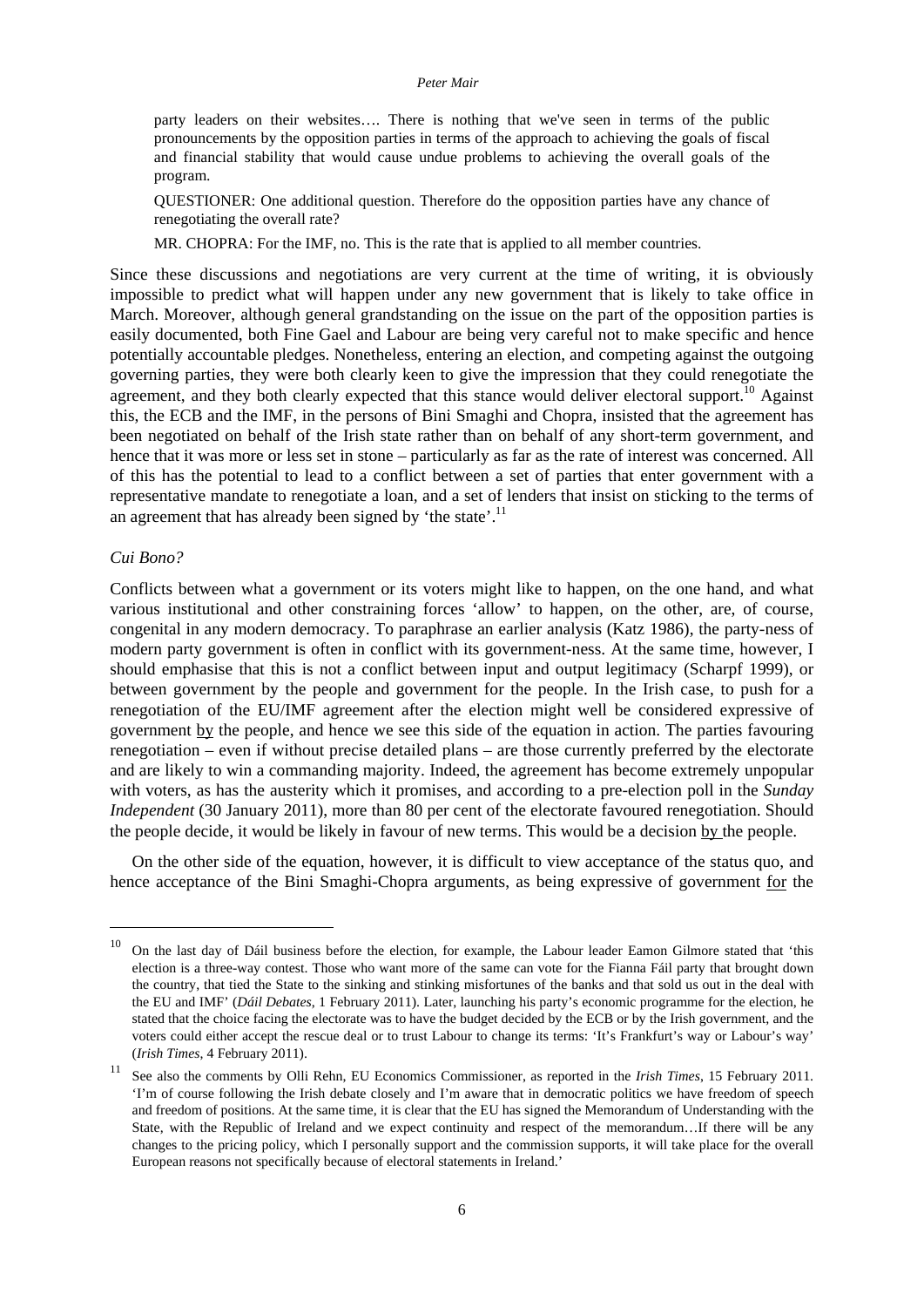party leaders on their websites…. There is nothing that we've seen in terms of the public pronouncements by the opposition parties in terms of the approach to achieving the goals of fiscal and financial stability that would cause undue problems to achieving the overall goals of the program.

QUESTIONER: One additional question. Therefore do the opposition parties have any chance of renegotiating the overall rate?

MR. CHOPRA: For the IMF, no. This is the rate that is applied to all member countries.

Since these discussions and negotiations are very current at the time of writing, it is obviously impossible to predict what will happen under any new government that is likely to take office in March. Moreover, although general grandstanding on the issue on the part of the opposition parties is easily documented, both Fine Gael and Labour are being very careful not to make specific and hence potentially accountable pledges. Nonetheless, entering an election, and competing against the outgoing governing parties, they were both clearly keen to give the impression that they could renegotiate the agreement, and they both clearly expected that this stance would deliver electoral support.<sup>10</sup> Against this, the ECB and the IMF, in the persons of Bini Smaghi and Chopra, insisted that the agreement has been negotiated on behalf of the Irish state rather than on behalf of any short-term government, and hence that it was more or less set in stone – particularly as far as the rate of interest was concerned. All of this has the potential to lead to a conflict between a set of parties that enter government with a representative mandate to renegotiate a loan, and a set of lenders that insist on sticking to the terms of an agreement that has already been signed by 'the state'.<sup>11</sup>

# *Cui Bono?*

1

Conflicts between what a government or its voters might like to happen, on the one hand, and what various institutional and other constraining forces 'allow' to happen, on the other, are, of course, congenital in any modern democracy. To paraphrase an earlier analysis (Katz 1986), the party-ness of modern party government is often in conflict with its government-ness. At the same time, however, I should emphasise that this is not a conflict between input and output legitimacy (Scharpf 1999), or between government by the people and government for the people. In the Irish case, to push for a renegotiation of the EU/IMF agreement after the election might well be considered expressive of government by the people, and hence we see this side of the equation in action. The parties favouring renegotiation – even if without precise detailed plans – are those currently preferred by the electorate and are likely to win a commanding majority. Indeed, the agreement has become extremely unpopular with voters, as has the austerity which it promises, and according to a pre-election poll in the *Sunday Independent* (30 January 2011), more than 80 per cent of the electorate favoured renegotiation. Should the people decide, it would be likely in favour of new terms. This would be a decision by the people.

On the other side of the equation, however, it is difficult to view acceptance of the status quo, and hence acceptance of the Bini Smaghi-Chopra arguments, as being expressive of government for the

<sup>&</sup>lt;sup>10</sup> On the last day of Dáil business before the election, for example, the Labour leader Eamon Gilmore stated that 'this election is a three-way contest. Those who want more of the same can vote for the Fianna Fáil party that brought down the country, that tied the State to the sinking and stinking misfortunes of the banks and that sold us out in the deal with the EU and IMF' (*Dáil Debates*, 1 February 2011). Later, launching his party's economic programme for the election, he stated that the choice facing the electorate was to have the budget decided by the ECB or by the Irish government, and the voters could either accept the rescue deal or to trust Labour to change its terms: 'It's Frankfurt's way or Labour's way' (*Irish Times*, 4 February 2011).

<sup>11</sup> See also the comments by Olli Rehn, EU Economics Commissioner, as reported in the *Irish Times*, 15 February 2011. 'I'm of course following the Irish debate closely and I'm aware that in democratic politics we have freedom of speech and freedom of positions. At the same time, it is clear that the EU has signed the Memorandum of Understanding with the State, with the Republic of Ireland and we expect continuity and respect of the memorandum…If there will be any changes to the pricing policy, which I personally support and the commission supports, it will take place for the overall European reasons not specifically because of electoral statements in Ireland.'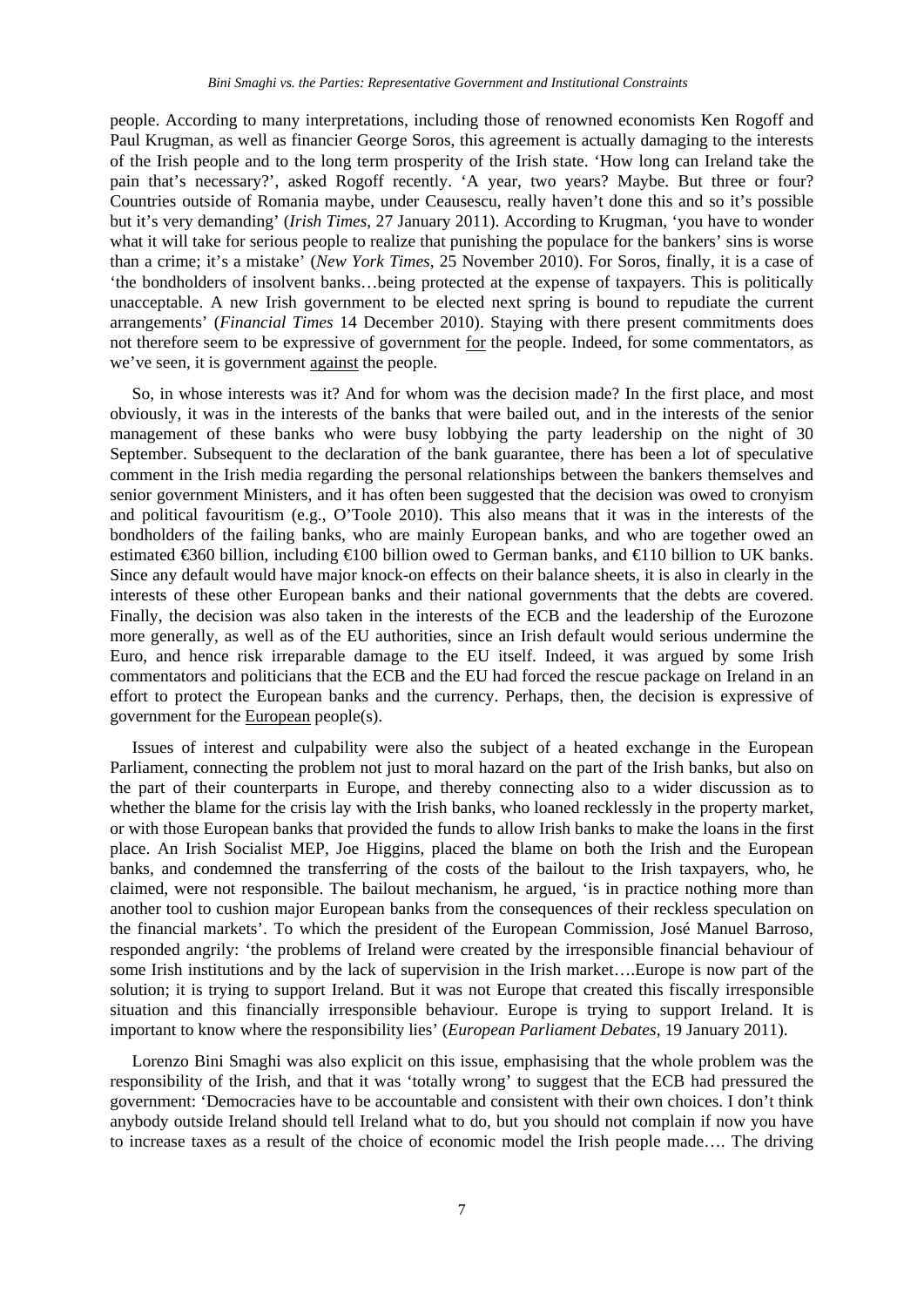people. According to many interpretations, including those of renowned economists Ken Rogoff and Paul Krugman, as well as financier George Soros, this agreement is actually damaging to the interests of the Irish people and to the long term prosperity of the Irish state. 'How long can Ireland take the pain that's necessary?', asked Rogoff recently. 'A year, two years? Maybe. But three or four? Countries outside of Romania maybe, under Ceausescu, really haven't done this and so it's possible but it's very demanding' (*Irish Times*, 27 January 2011). According to Krugman, 'you have to wonder what it will take for serious people to realize that punishing the populace for the bankers' sins is worse than a crime; it's a mistake' (*New York Times*, 25 November 2010). For Soros, finally, it is a case of 'the bondholders of insolvent banks…being protected at the expense of taxpayers. This is politically unacceptable. A new Irish government to be elected next spring is bound to repudiate the current arrangements' (*Financial Times* 14 December 2010). Staying with there present commitments does not therefore seem to be expressive of government for the people. Indeed, for some commentators, as we've seen, it is government against the people.

So, in whose interests was it? And for whom was the decision made? In the first place, and most obviously, it was in the interests of the banks that were bailed out, and in the interests of the senior management of these banks who were busy lobbying the party leadership on the night of 30 September. Subsequent to the declaration of the bank guarantee, there has been a lot of speculative comment in the Irish media regarding the personal relationships between the bankers themselves and senior government Ministers, and it has often been suggested that the decision was owed to cronyism and political favouritism (e.g., O'Toole 2010). This also means that it was in the interests of the bondholders of the failing banks, who are mainly European banks, and who are together owed an estimated  $\text{\textless{}60}$  billion, including  $\text{\textless{}10}$  billion owed to German banks, and  $\text{\textless{}10}$  billion to UK banks. Since any default would have major knock-on effects on their balance sheets, it is also in clearly in the interests of these other European banks and their national governments that the debts are covered. Finally, the decision was also taken in the interests of the ECB and the leadership of the Eurozone more generally, as well as of the EU authorities, since an Irish default would serious undermine the Euro, and hence risk irreparable damage to the EU itself. Indeed, it was argued by some Irish commentators and politicians that the ECB and the EU had forced the rescue package on Ireland in an effort to protect the European banks and the currency. Perhaps, then, the decision is expressive of government for the European people(s).

Issues of interest and culpability were also the subject of a heated exchange in the European Parliament, connecting the problem not just to moral hazard on the part of the Irish banks, but also on the part of their counterparts in Europe, and thereby connecting also to a wider discussion as to whether the blame for the crisis lay with the Irish banks, who loaned recklessly in the property market, or with those European banks that provided the funds to allow Irish banks to make the loans in the first place. An Irish Socialist MEP, Joe Higgins, placed the blame on both the Irish and the European banks, and condemned the transferring of the costs of the bailout to the Irish taxpayers, who, he claimed, were not responsible. The bailout mechanism, he argued, 'is in practice nothing more than another tool to cushion major European banks from the consequences of their reckless speculation on the financial markets'. To which the president of the European Commission, José Manuel Barroso, responded angrily: 'the problems of Ireland were created by the irresponsible financial behaviour of some Irish institutions and by the lack of supervision in the Irish market….Europe is now part of the solution; it is trying to support Ireland. But it was not Europe that created this fiscally irresponsible situation and this financially irresponsible behaviour. Europe is trying to support Ireland. It is important to know where the responsibility lies' (*European Parliament Debates*, 19 January 2011).

Lorenzo Bini Smaghi was also explicit on this issue, emphasising that the whole problem was the responsibility of the Irish, and that it was 'totally wrong' to suggest that the ECB had pressured the government: 'Democracies have to be accountable and consistent with their own choices. I don't think anybody outside Ireland should tell Ireland what to do, but you should not complain if now you have to increase taxes as a result of the choice of economic model the Irish people made…. The driving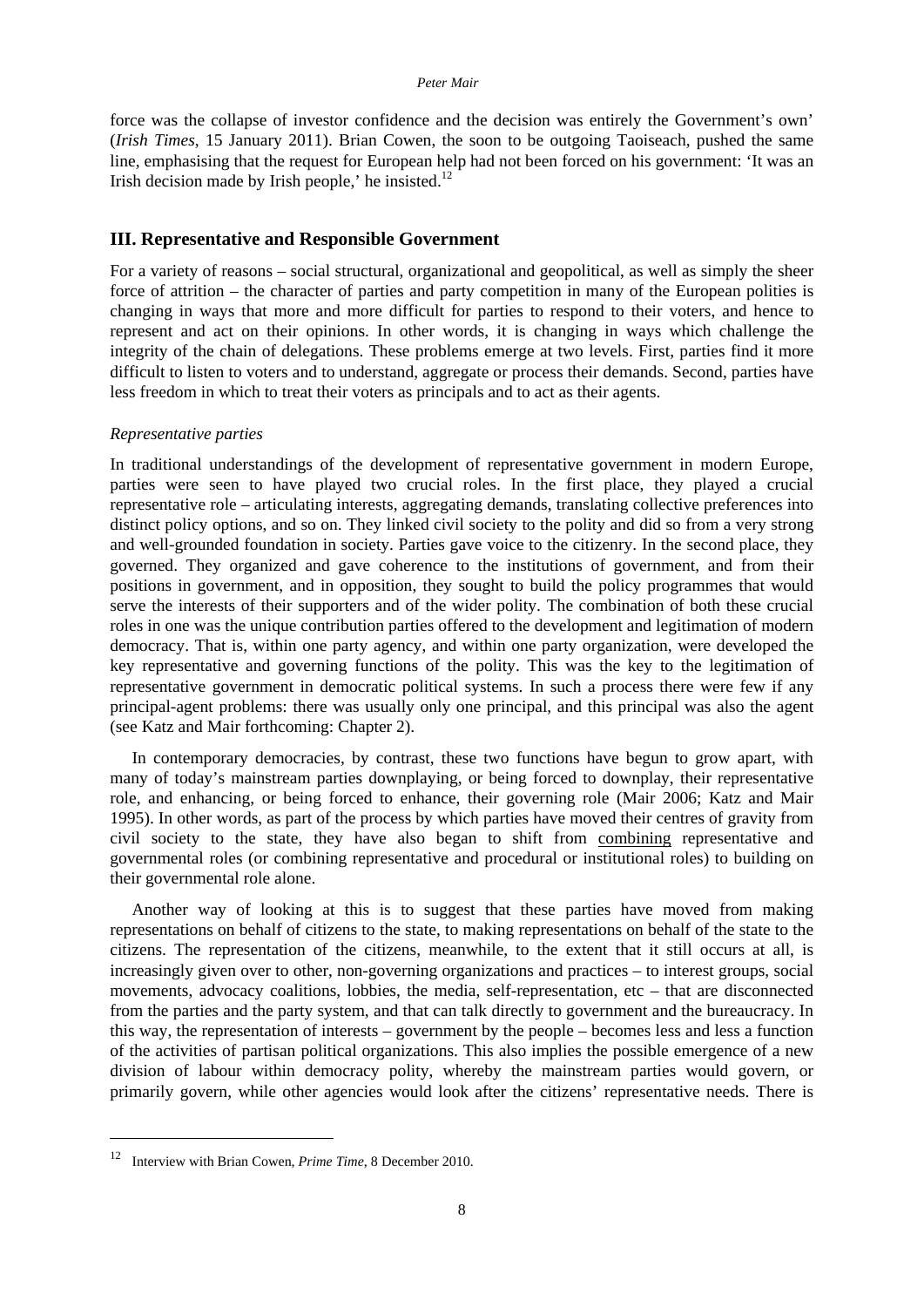force was the collapse of investor confidence and the decision was entirely the Government's own' (*Irish Times*, 15 January 2011). Brian Cowen, the soon to be outgoing Taoiseach, pushed the same line, emphasising that the request for European help had not been forced on his government: 'It was an Irish decision made by Irish people,' he insisted. $12$ 

#### **III. Representative and Responsible Government**

For a variety of reasons – social structural, organizational and geopolitical, as well as simply the sheer force of attrition – the character of parties and party competition in many of the European polities is changing in ways that more and more difficult for parties to respond to their voters, and hence to represent and act on their opinions. In other words, it is changing in ways which challenge the integrity of the chain of delegations. These problems emerge at two levels. First, parties find it more difficult to listen to voters and to understand, aggregate or process their demands. Second, parties have less freedom in which to treat their voters as principals and to act as their agents.

#### *Representative parties*

In traditional understandings of the development of representative government in modern Europe, parties were seen to have played two crucial roles. In the first place, they played a crucial representative role – articulating interests, aggregating demands, translating collective preferences into distinct policy options, and so on. They linked civil society to the polity and did so from a very strong and well-grounded foundation in society. Parties gave voice to the citizenry. In the second place, they governed. They organized and gave coherence to the institutions of government, and from their positions in government, and in opposition, they sought to build the policy programmes that would serve the interests of their supporters and of the wider polity. The combination of both these crucial roles in one was the unique contribution parties offered to the development and legitimation of modern democracy. That is, within one party agency, and within one party organization, were developed the key representative and governing functions of the polity. This was the key to the legitimation of representative government in democratic political systems. In such a process there were few if any principal-agent problems: there was usually only one principal, and this principal was also the agent (see Katz and Mair forthcoming: Chapter 2).

In contemporary democracies, by contrast, these two functions have begun to grow apart, with many of today's mainstream parties downplaying, or being forced to downplay, their representative role, and enhancing, or being forced to enhance, their governing role (Mair 2006; Katz and Mair 1995). In other words, as part of the process by which parties have moved their centres of gravity from civil society to the state, they have also began to shift from combining representative and governmental roles (or combining representative and procedural or institutional roles) to building on their governmental role alone.

Another way of looking at this is to suggest that these parties have moved from making representations on behalf of citizens to the state, to making representations on behalf of the state to the citizens. The representation of the citizens, meanwhile, to the extent that it still occurs at all, is increasingly given over to other, non-governing organizations and practices – to interest groups, social movements, advocacy coalitions, lobbies, the media, self-representation, etc – that are disconnected from the parties and the party system, and that can talk directly to government and the bureaucracy. In this way, the representation of interests – government by the people – becomes less and less a function of the activities of partisan political organizations. This also implies the possible emergence of a new division of labour within democracy polity, whereby the mainstream parties would govern, or primarily govern, while other agencies would look after the citizens' representative needs. There is

<sup>12</sup> Interview with Brian Cowen, *Prime Time*, 8 December 2010.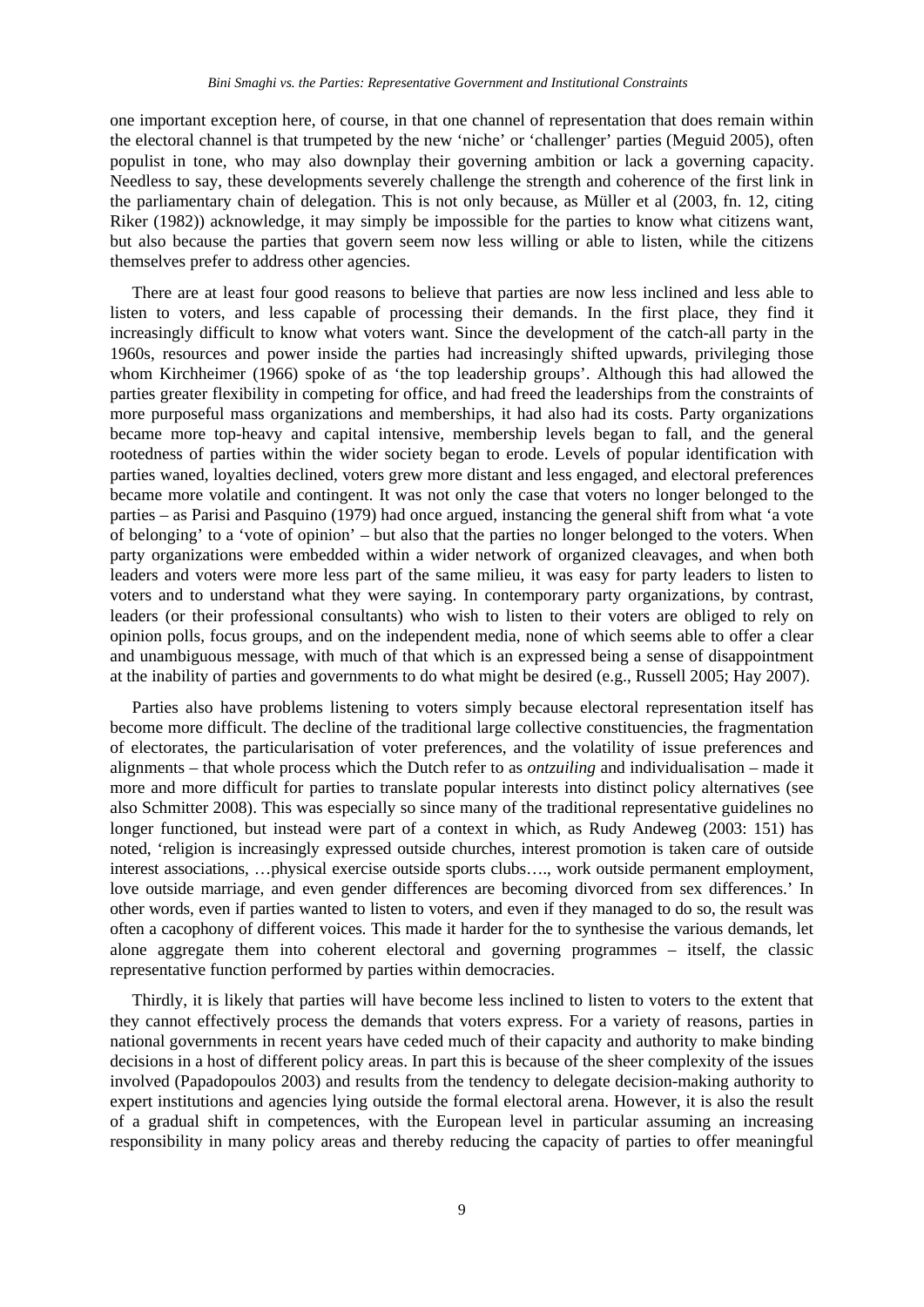one important exception here, of course, in that one channel of representation that does remain within the electoral channel is that trumpeted by the new 'niche' or 'challenger' parties (Meguid 2005), often populist in tone, who may also downplay their governing ambition or lack a governing capacity. Needless to say, these developments severely challenge the strength and coherence of the first link in the parliamentary chain of delegation. This is not only because, as Müller et al (2003, fn. 12, citing Riker (1982)) acknowledge, it may simply be impossible for the parties to know what citizens want, but also because the parties that govern seem now less willing or able to listen, while the citizens themselves prefer to address other agencies.

There are at least four good reasons to believe that parties are now less inclined and less able to listen to voters, and less capable of processing their demands. In the first place, they find it increasingly difficult to know what voters want. Since the development of the catch-all party in the 1960s, resources and power inside the parties had increasingly shifted upwards, privileging those whom Kirchheimer (1966) spoke of as 'the top leadership groups'. Although this had allowed the parties greater flexibility in competing for office, and had freed the leaderships from the constraints of more purposeful mass organizations and memberships, it had also had its costs. Party organizations became more top-heavy and capital intensive, membership levels began to fall, and the general rootedness of parties within the wider society began to erode. Levels of popular identification with parties waned, loyalties declined, voters grew more distant and less engaged, and electoral preferences became more volatile and contingent. It was not only the case that voters no longer belonged to the parties – as Parisi and Pasquino (1979) had once argued, instancing the general shift from what 'a vote of belonging' to a 'vote of opinion' – but also that the parties no longer belonged to the voters. When party organizations were embedded within a wider network of organized cleavages, and when both leaders and voters were more less part of the same milieu, it was easy for party leaders to listen to voters and to understand what they were saying. In contemporary party organizations, by contrast, leaders (or their professional consultants) who wish to listen to their voters are obliged to rely on opinion polls, focus groups, and on the independent media, none of which seems able to offer a clear and unambiguous message, with much of that which is an expressed being a sense of disappointment at the inability of parties and governments to do what might be desired (e.g., Russell 2005; Hay 2007).

Parties also have problems listening to voters simply because electoral representation itself has become more difficult. The decline of the traditional large collective constituencies, the fragmentation of electorates, the particularisation of voter preferences, and the volatility of issue preferences and alignments – that whole process which the Dutch refer to as *ontzuiling* and individualisation – made it more and more difficult for parties to translate popular interests into distinct policy alternatives (see also Schmitter 2008). This was especially so since many of the traditional representative guidelines no longer functioned, but instead were part of a context in which, as Rudy Andeweg (2003: 151) has noted, 'religion is increasingly expressed outside churches, interest promotion is taken care of outside interest associations, …physical exercise outside sports clubs…., work outside permanent employment, love outside marriage, and even gender differences are becoming divorced from sex differences.' In other words, even if parties wanted to listen to voters, and even if they managed to do so, the result was often a cacophony of different voices. This made it harder for the to synthesise the various demands, let alone aggregate them into coherent electoral and governing programmes – itself, the classic representative function performed by parties within democracies.

Thirdly, it is likely that parties will have become less inclined to listen to voters to the extent that they cannot effectively process the demands that voters express. For a variety of reasons, parties in national governments in recent years have ceded much of their capacity and authority to make binding decisions in a host of different policy areas. In part this is because of the sheer complexity of the issues involved (Papadopoulos 2003) and results from the tendency to delegate decision-making authority to expert institutions and agencies lying outside the formal electoral arena. However, it is also the result of a gradual shift in competences, with the European level in particular assuming an increasing responsibility in many policy areas and thereby reducing the capacity of parties to offer meaningful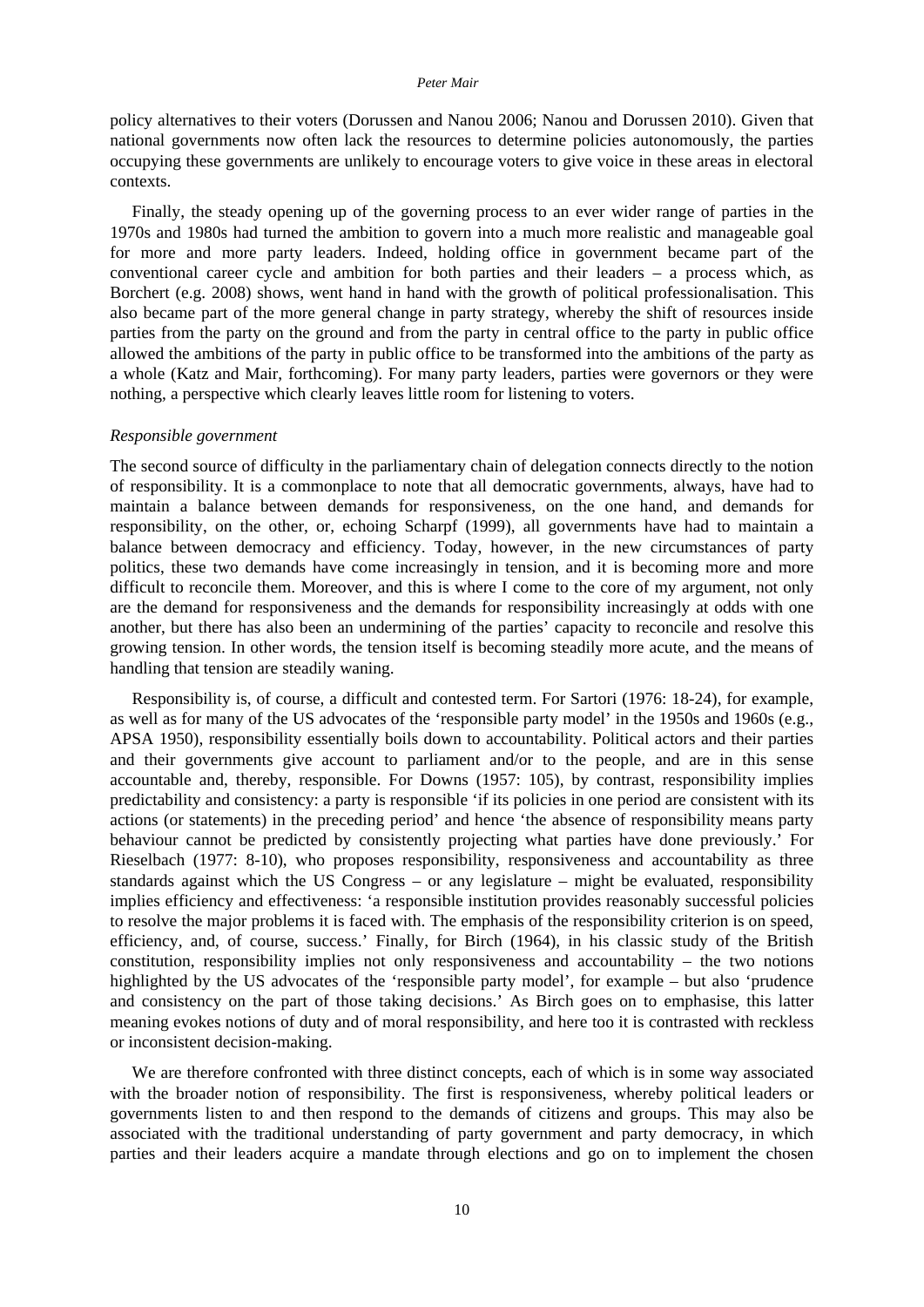#### *Peter Mair*

policy alternatives to their voters (Dorussen and Nanou 2006; Nanou and Dorussen 2010). Given that national governments now often lack the resources to determine policies autonomously, the parties occupying these governments are unlikely to encourage voters to give voice in these areas in electoral contexts.

Finally, the steady opening up of the governing process to an ever wider range of parties in the 1970s and 1980s had turned the ambition to govern into a much more realistic and manageable goal for more and more party leaders. Indeed, holding office in government became part of the conventional career cycle and ambition for both parties and their leaders – a process which, as Borchert (e.g. 2008) shows, went hand in hand with the growth of political professionalisation. This also became part of the more general change in party strategy, whereby the shift of resources inside parties from the party on the ground and from the party in central office to the party in public office allowed the ambitions of the party in public office to be transformed into the ambitions of the party as a whole (Katz and Mair, forthcoming). For many party leaders, parties were governors or they were nothing, a perspective which clearly leaves little room for listening to voters.

#### *Responsible government*

The second source of difficulty in the parliamentary chain of delegation connects directly to the notion of responsibility. It is a commonplace to note that all democratic governments, always, have had to maintain a balance between demands for responsiveness, on the one hand, and demands for responsibility, on the other, or, echoing Scharpf (1999), all governments have had to maintain a balance between democracy and efficiency. Today, however, in the new circumstances of party politics, these two demands have come increasingly in tension, and it is becoming more and more difficult to reconcile them. Moreover, and this is where I come to the core of my argument, not only are the demand for responsiveness and the demands for responsibility increasingly at odds with one another, but there has also been an undermining of the parties' capacity to reconcile and resolve this growing tension. In other words, the tension itself is becoming steadily more acute, and the means of handling that tension are steadily waning.

Responsibility is, of course, a difficult and contested term. For Sartori (1976: 18-24), for example, as well as for many of the US advocates of the 'responsible party model' in the 1950s and 1960s (e.g., APSA 1950), responsibility essentially boils down to accountability. Political actors and their parties and their governments give account to parliament and/or to the people, and are in this sense accountable and, thereby, responsible. For Downs (1957: 105), by contrast, responsibility implies predictability and consistency: a party is responsible 'if its policies in one period are consistent with its actions (or statements) in the preceding period' and hence 'the absence of responsibility means party behaviour cannot be predicted by consistently projecting what parties have done previously.' For Rieselbach (1977: 8-10), who proposes responsibility, responsiveness and accountability as three standards against which the US Congress – or any legislature – might be evaluated, responsibility implies efficiency and effectiveness: 'a responsible institution provides reasonably successful policies to resolve the major problems it is faced with. The emphasis of the responsibility criterion is on speed, efficiency, and, of course, success.' Finally, for Birch (1964), in his classic study of the British constitution, responsibility implies not only responsiveness and accountability – the two notions highlighted by the US advocates of the 'responsible party model', for example – but also 'prudence and consistency on the part of those taking decisions.' As Birch goes on to emphasise, this latter meaning evokes notions of duty and of moral responsibility, and here too it is contrasted with reckless or inconsistent decision-making.

We are therefore confronted with three distinct concepts, each of which is in some way associated with the broader notion of responsibility. The first is responsiveness, whereby political leaders or governments listen to and then respond to the demands of citizens and groups. This may also be associated with the traditional understanding of party government and party democracy, in which parties and their leaders acquire a mandate through elections and go on to implement the chosen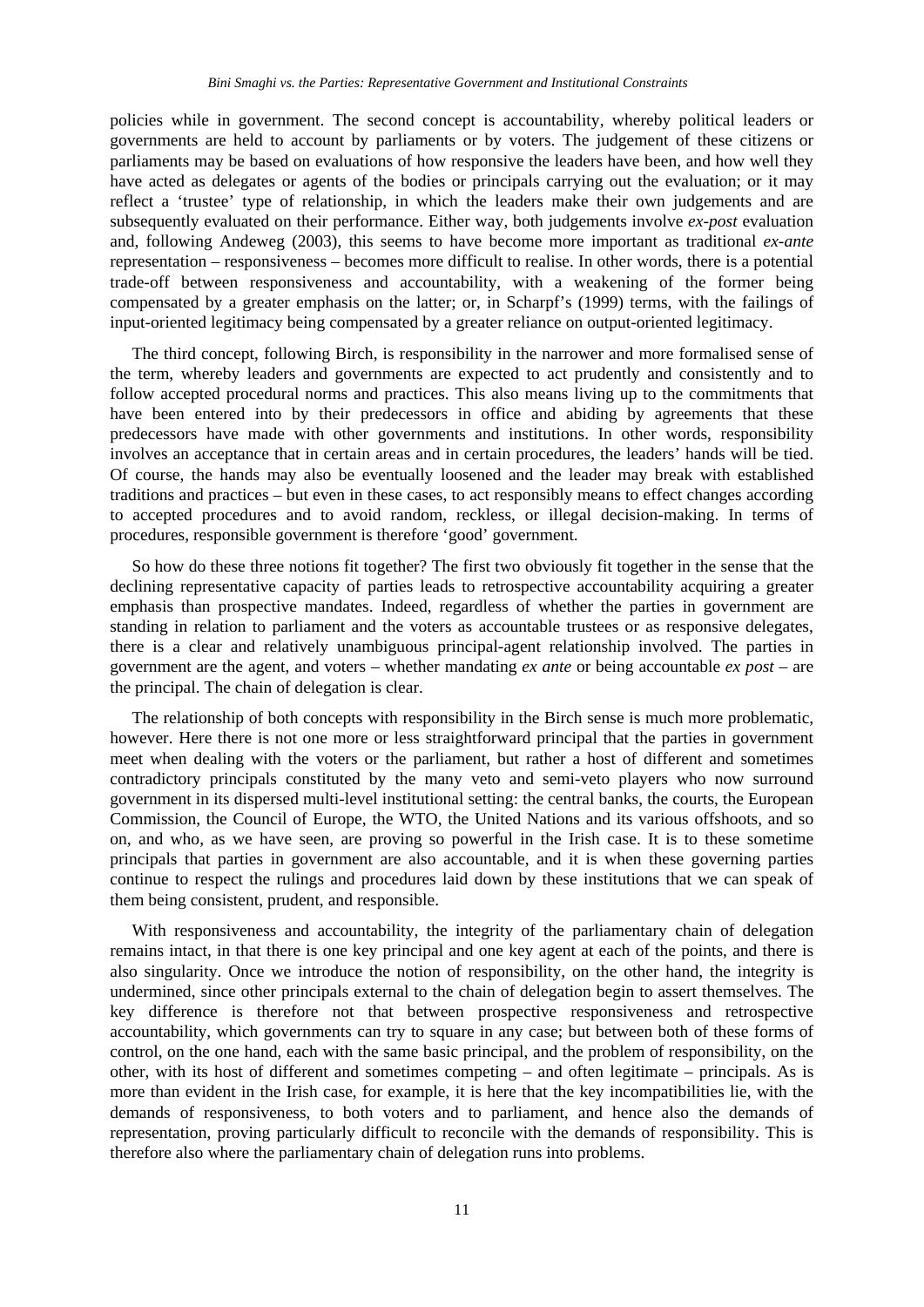policies while in government. The second concept is accountability, whereby political leaders or governments are held to account by parliaments or by voters. The judgement of these citizens or parliaments may be based on evaluations of how responsive the leaders have been, and how well they have acted as delegates or agents of the bodies or principals carrying out the evaluation; or it may reflect a 'trustee' type of relationship, in which the leaders make their own judgements and are subsequently evaluated on their performance. Either way, both judgements involve *ex-post* evaluation and, following Andeweg (2003), this seems to have become more important as traditional *ex-ante* representation – responsiveness – becomes more difficult to realise. In other words, there is a potential trade-off between responsiveness and accountability, with a weakening of the former being compensated by a greater emphasis on the latter; or, in Scharpf's (1999) terms, with the failings of input-oriented legitimacy being compensated by a greater reliance on output-oriented legitimacy.

The third concept, following Birch, is responsibility in the narrower and more formalised sense of the term, whereby leaders and governments are expected to act prudently and consistently and to follow accepted procedural norms and practices. This also means living up to the commitments that have been entered into by their predecessors in office and abiding by agreements that these predecessors have made with other governments and institutions. In other words, responsibility involves an acceptance that in certain areas and in certain procedures, the leaders' hands will be tied. Of course, the hands may also be eventually loosened and the leader may break with established traditions and practices – but even in these cases, to act responsibly means to effect changes according to accepted procedures and to avoid random, reckless, or illegal decision-making. In terms of procedures, responsible government is therefore 'good' government.

So how do these three notions fit together? The first two obviously fit together in the sense that the declining representative capacity of parties leads to retrospective accountability acquiring a greater emphasis than prospective mandates. Indeed, regardless of whether the parties in government are standing in relation to parliament and the voters as accountable trustees or as responsive delegates, there is a clear and relatively unambiguous principal-agent relationship involved. The parties in government are the agent, and voters – whether mandating *ex ante* or being accountable *ex post* – are the principal. The chain of delegation is clear.

The relationship of both concepts with responsibility in the Birch sense is much more problematic, however. Here there is not one more or less straightforward principal that the parties in government meet when dealing with the voters or the parliament, but rather a host of different and sometimes contradictory principals constituted by the many veto and semi-veto players who now surround government in its dispersed multi-level institutional setting: the central banks, the courts, the European Commission, the Council of Europe, the WTO, the United Nations and its various offshoots, and so on, and who, as we have seen, are proving so powerful in the Irish case. It is to these sometime principals that parties in government are also accountable, and it is when these governing parties continue to respect the rulings and procedures laid down by these institutions that we can speak of them being consistent, prudent, and responsible.

With responsiveness and accountability, the integrity of the parliamentary chain of delegation remains intact, in that there is one key principal and one key agent at each of the points, and there is also singularity. Once we introduce the notion of responsibility, on the other hand, the integrity is undermined, since other principals external to the chain of delegation begin to assert themselves. The key difference is therefore not that between prospective responsiveness and retrospective accountability, which governments can try to square in any case; but between both of these forms of control, on the one hand, each with the same basic principal, and the problem of responsibility, on the other, with its host of different and sometimes competing – and often legitimate – principals. As is more than evident in the Irish case, for example, it is here that the key incompatibilities lie, with the demands of responsiveness, to both voters and to parliament, and hence also the demands of representation, proving particularly difficult to reconcile with the demands of responsibility. This is therefore also where the parliamentary chain of delegation runs into problems.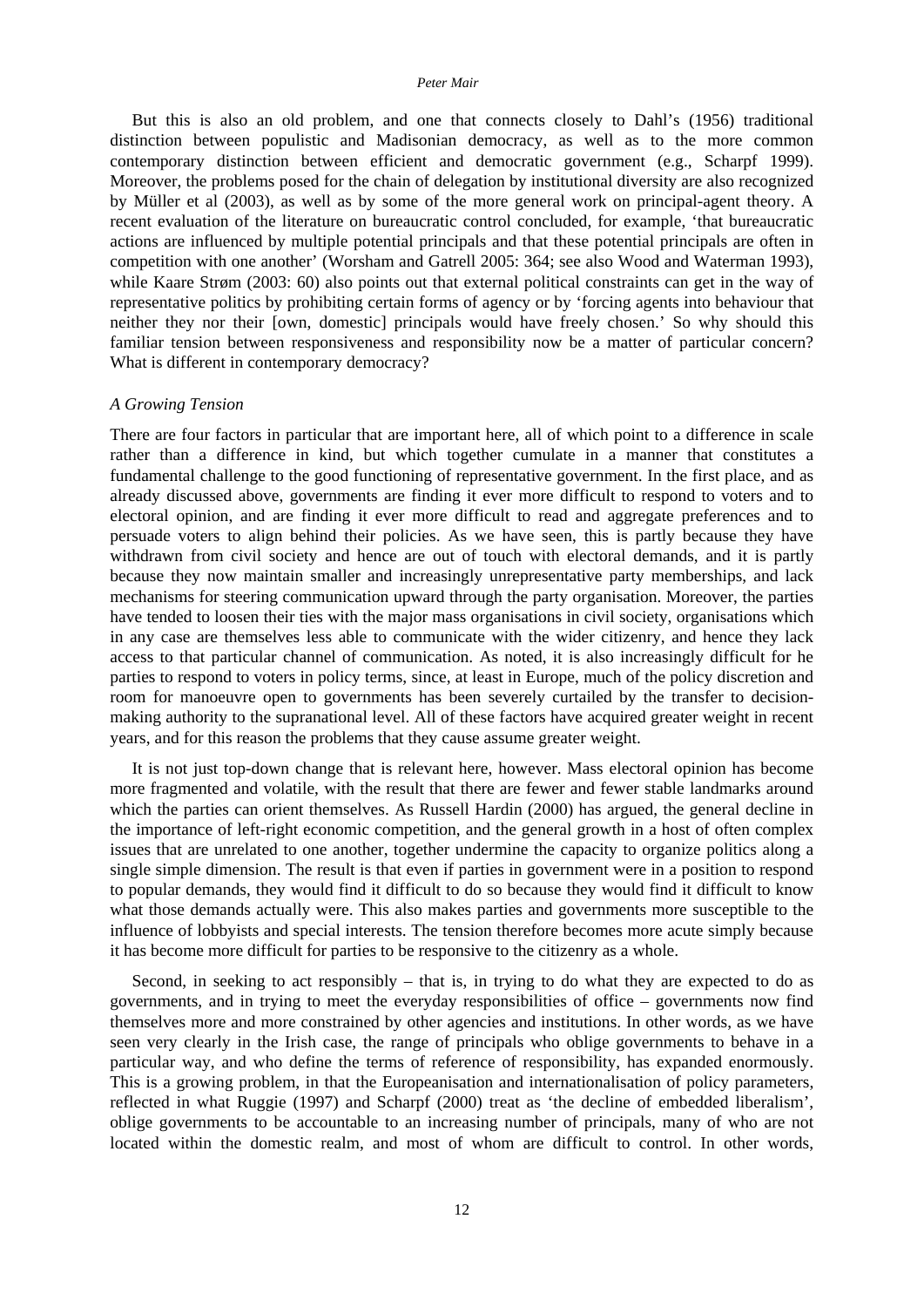#### *Peter Mair*

But this is also an old problem, and one that connects closely to Dahl's (1956) traditional distinction between populistic and Madisonian democracy, as well as to the more common contemporary distinction between efficient and democratic government (e.g., Scharpf 1999). Moreover, the problems posed for the chain of delegation by institutional diversity are also recognized by Müller et al (2003), as well as by some of the more general work on principal-agent theory. A recent evaluation of the literature on bureaucratic control concluded, for example, 'that bureaucratic actions are influenced by multiple potential principals and that these potential principals are often in competition with one another' (Worsham and Gatrell 2005: 364; see also Wood and Waterman 1993), while Kaare Strøm (2003: 60) also points out that external political constraints can get in the way of representative politics by prohibiting certain forms of agency or by 'forcing agents into behaviour that neither they nor their [own, domestic] principals would have freely chosen.' So why should this familiar tension between responsiveness and responsibility now be a matter of particular concern? What is different in contemporary democracy?

#### *A Growing Tension*

There are four factors in particular that are important here, all of which point to a difference in scale rather than a difference in kind, but which together cumulate in a manner that constitutes a fundamental challenge to the good functioning of representative government. In the first place, and as already discussed above, governments are finding it ever more difficult to respond to voters and to electoral opinion, and are finding it ever more difficult to read and aggregate preferences and to persuade voters to align behind their policies. As we have seen, this is partly because they have withdrawn from civil society and hence are out of touch with electoral demands, and it is partly because they now maintain smaller and increasingly unrepresentative party memberships, and lack mechanisms for steering communication upward through the party organisation. Moreover, the parties have tended to loosen their ties with the major mass organisations in civil society, organisations which in any case are themselves less able to communicate with the wider citizenry, and hence they lack access to that particular channel of communication. As noted, it is also increasingly difficult for he parties to respond to voters in policy terms, since, at least in Europe, much of the policy discretion and room for manoeuvre open to governments has been severely curtailed by the transfer to decisionmaking authority to the supranational level. All of these factors have acquired greater weight in recent years, and for this reason the problems that they cause assume greater weight.

It is not just top-down change that is relevant here, however. Mass electoral opinion has become more fragmented and volatile, with the result that there are fewer and fewer stable landmarks around which the parties can orient themselves. As Russell Hardin (2000) has argued, the general decline in the importance of left-right economic competition, and the general growth in a host of often complex issues that are unrelated to one another, together undermine the capacity to organize politics along a single simple dimension. The result is that even if parties in government were in a position to respond to popular demands, they would find it difficult to do so because they would find it difficult to know what those demands actually were. This also makes parties and governments more susceptible to the influence of lobbyists and special interests. The tension therefore becomes more acute simply because it has become more difficult for parties to be responsive to the citizenry as a whole.

Second, in seeking to act responsibly – that is, in trying to do what they are expected to do as governments, and in trying to meet the everyday responsibilities of office – governments now find themselves more and more constrained by other agencies and institutions. In other words, as we have seen very clearly in the Irish case, the range of principals who oblige governments to behave in a particular way, and who define the terms of reference of responsibility, has expanded enormously. This is a growing problem, in that the Europeanisation and internationalisation of policy parameters, reflected in what Ruggie (1997) and Scharpf (2000) treat as 'the decline of embedded liberalism', oblige governments to be accountable to an increasing number of principals, many of who are not located within the domestic realm, and most of whom are difficult to control. In other words,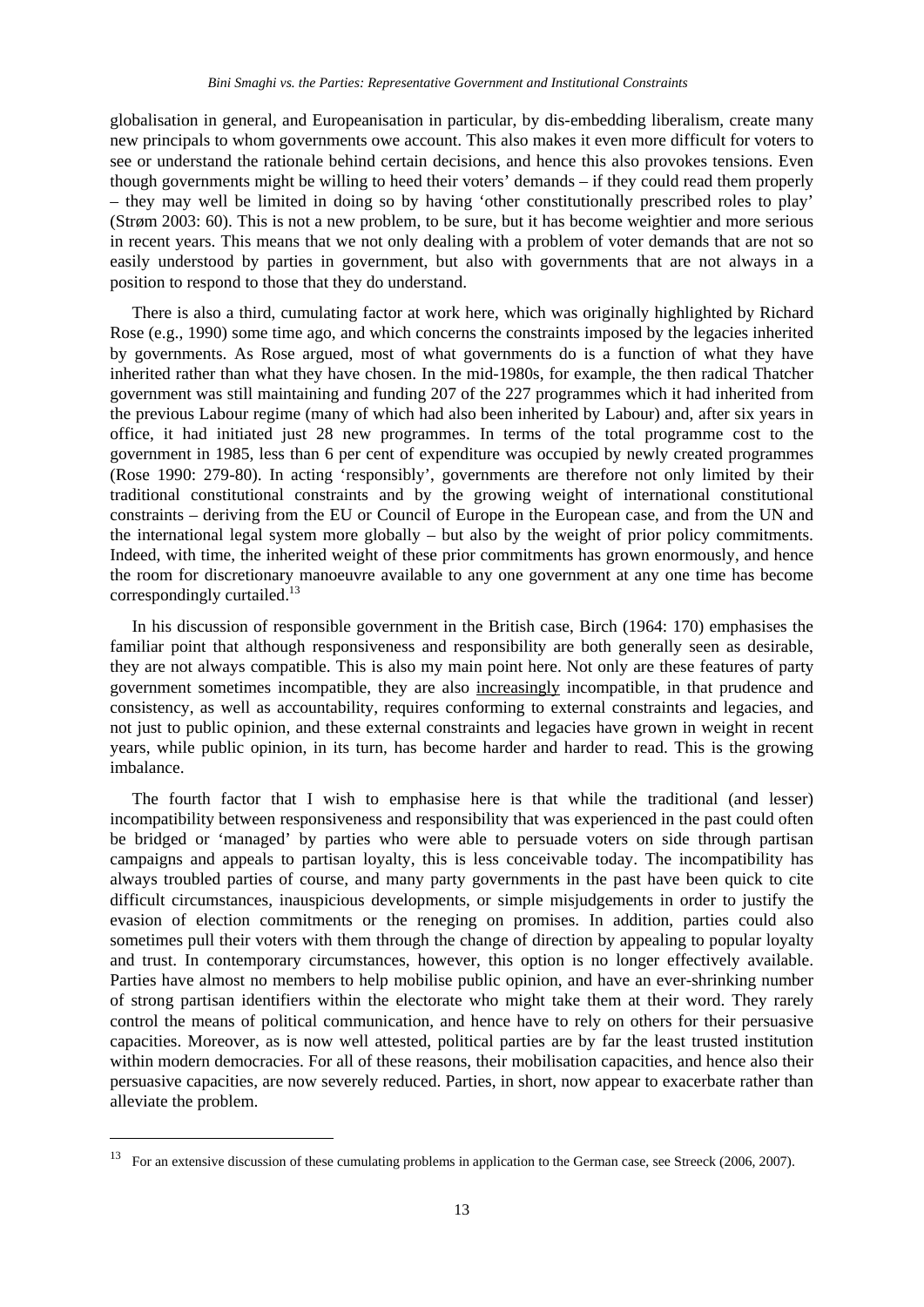globalisation in general, and Europeanisation in particular, by dis-embedding liberalism, create many new principals to whom governments owe account. This also makes it even more difficult for voters to see or understand the rationale behind certain decisions, and hence this also provokes tensions. Even though governments might be willing to heed their voters' demands – if they could read them properly – they may well be limited in doing so by having 'other constitutionally prescribed roles to play' (Strøm 2003: 60). This is not a new problem, to be sure, but it has become weightier and more serious in recent years. This means that we not only dealing with a problem of voter demands that are not so easily understood by parties in government, but also with governments that are not always in a position to respond to those that they do understand.

There is also a third, cumulating factor at work here, which was originally highlighted by Richard Rose (e.g., 1990) some time ago, and which concerns the constraints imposed by the legacies inherited by governments. As Rose argued, most of what governments do is a function of what they have inherited rather than what they have chosen. In the mid-1980s, for example, the then radical Thatcher government was still maintaining and funding 207 of the 227 programmes which it had inherited from the previous Labour regime (many of which had also been inherited by Labour) and, after six years in office, it had initiated just 28 new programmes. In terms of the total programme cost to the government in 1985, less than 6 per cent of expenditure was occupied by newly created programmes (Rose 1990: 279-80). In acting 'responsibly', governments are therefore not only limited by their traditional constitutional constraints and by the growing weight of international constitutional constraints – deriving from the EU or Council of Europe in the European case, and from the UN and the international legal system more globally – but also by the weight of prior policy commitments. Indeed, with time, the inherited weight of these prior commitments has grown enormously, and hence the room for discretionary manoeuvre available to any one government at any one time has become correspondingly curtailed.<sup>13</sup>

In his discussion of responsible government in the British case, Birch (1964: 170) emphasises the familiar point that although responsiveness and responsibility are both generally seen as desirable, they are not always compatible. This is also my main point here. Not only are these features of party government sometimes incompatible, they are also increasingly incompatible, in that prudence and consistency, as well as accountability, requires conforming to external constraints and legacies, and not just to public opinion, and these external constraints and legacies have grown in weight in recent years, while public opinion, in its turn, has become harder and harder to read. This is the growing imbalance.

The fourth factor that I wish to emphasise here is that while the traditional (and lesser) incompatibility between responsiveness and responsibility that was experienced in the past could often be bridged or 'managed' by parties who were able to persuade voters on side through partisan campaigns and appeals to partisan loyalty, this is less conceivable today. The incompatibility has always troubled parties of course, and many party governments in the past have been quick to cite difficult circumstances, inauspicious developments, or simple misjudgements in order to justify the evasion of election commitments or the reneging on promises. In addition, parties could also sometimes pull their voters with them through the change of direction by appealing to popular loyalty and trust. In contemporary circumstances, however, this option is no longer effectively available. Parties have almost no members to help mobilise public opinion, and have an ever-shrinking number of strong partisan identifiers within the electorate who might take them at their word. They rarely control the means of political communication, and hence have to rely on others for their persuasive capacities. Moreover, as is now well attested, political parties are by far the least trusted institution within modern democracies. For all of these reasons, their mobilisation capacities, and hence also their persuasive capacities, are now severely reduced. Parties, in short, now appear to exacerbate rather than alleviate the problem.

<sup>&</sup>lt;sup>13</sup> For an extensive discussion of these cumulating problems in application to the German case, see Streeck (2006, 2007).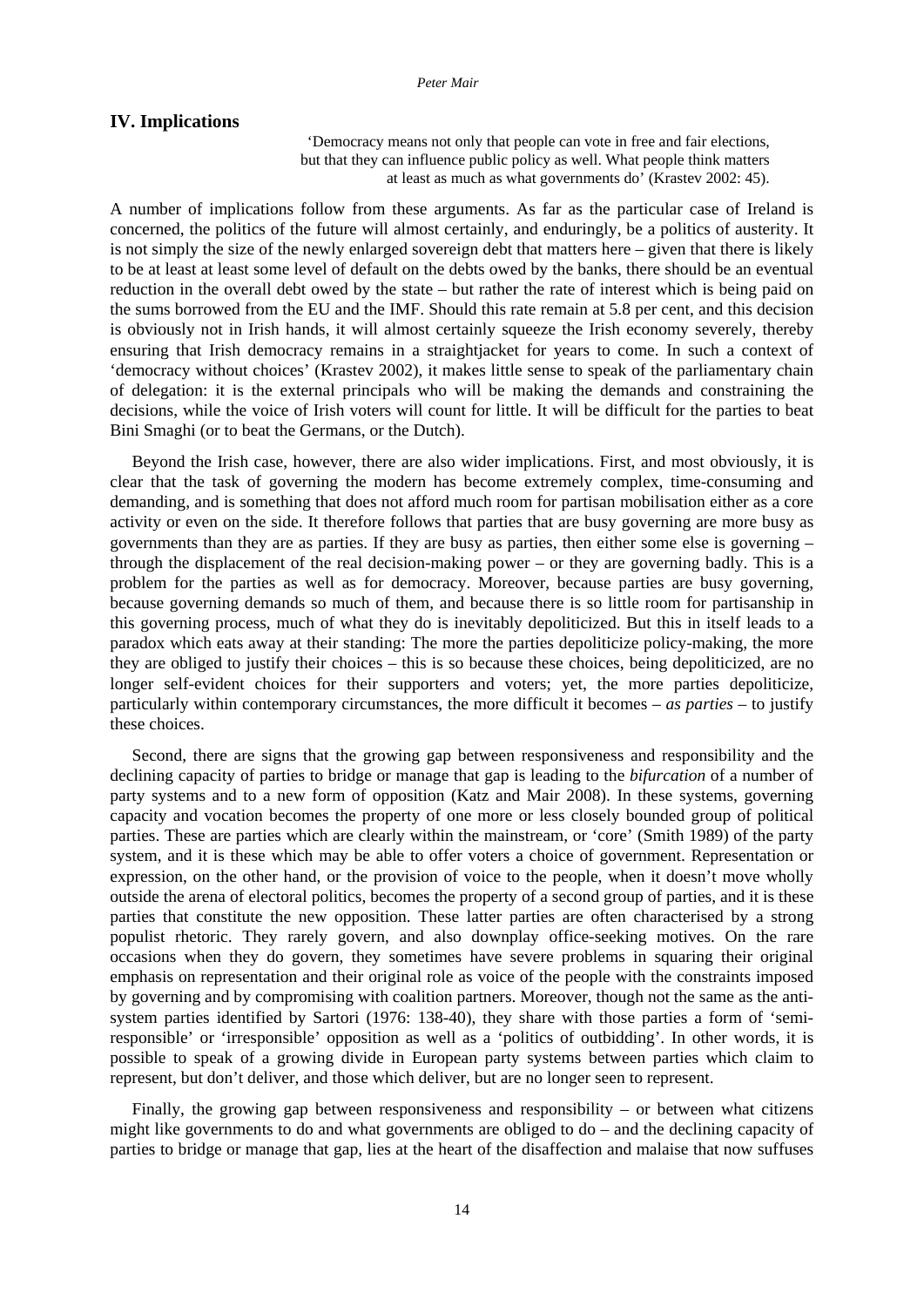#### **IV. Implications**

'Democracy means not only that people can vote in free and fair elections, but that they can influence public policy as well. What people think matters at least as much as what governments do' (Krastev 2002: 45).

A number of implications follow from these arguments. As far as the particular case of Ireland is concerned, the politics of the future will almost certainly, and enduringly, be a politics of austerity. It is not simply the size of the newly enlarged sovereign debt that matters here – given that there is likely to be at least at least some level of default on the debts owed by the banks, there should be an eventual reduction in the overall debt owed by the state – but rather the rate of interest which is being paid on the sums borrowed from the EU and the IMF. Should this rate remain at 5.8 per cent, and this decision is obviously not in Irish hands, it will almost certainly squeeze the Irish economy severely, thereby ensuring that Irish democracy remains in a straightjacket for years to come. In such a context of 'democracy without choices' (Krastev 2002), it makes little sense to speak of the parliamentary chain of delegation: it is the external principals who will be making the demands and constraining the decisions, while the voice of Irish voters will count for little. It will be difficult for the parties to beat Bini Smaghi (or to beat the Germans, or the Dutch).

Beyond the Irish case, however, there are also wider implications. First, and most obviously, it is clear that the task of governing the modern has become extremely complex, time-consuming and demanding, and is something that does not afford much room for partisan mobilisation either as a core activity or even on the side. It therefore follows that parties that are busy governing are more busy as governments than they are as parties. If they are busy as parties, then either some else is governing – through the displacement of the real decision-making power – or they are governing badly. This is a problem for the parties as well as for democracy. Moreover, because parties are busy governing, because governing demands so much of them, and because there is so little room for partisanship in this governing process, much of what they do is inevitably depoliticized. But this in itself leads to a paradox which eats away at their standing: The more the parties depoliticize policy-making, the more they are obliged to justify their choices – this is so because these choices, being depoliticized, are no longer self-evident choices for their supporters and voters; yet, the more parties depoliticize, particularly within contemporary circumstances, the more difficult it becomes – *as parties* – to justify these choices.

Second, there are signs that the growing gap between responsiveness and responsibility and the declining capacity of parties to bridge or manage that gap is leading to the *bifurcation* of a number of party systems and to a new form of opposition (Katz and Mair 2008). In these systems, governing capacity and vocation becomes the property of one more or less closely bounded group of political parties. These are parties which are clearly within the mainstream, or 'core' (Smith 1989) of the party system, and it is these which may be able to offer voters a choice of government. Representation or expression, on the other hand, or the provision of voice to the people, when it doesn't move wholly outside the arena of electoral politics, becomes the property of a second group of parties, and it is these parties that constitute the new opposition. These latter parties are often characterised by a strong populist rhetoric. They rarely govern, and also downplay office-seeking motives. On the rare occasions when they do govern, they sometimes have severe problems in squaring their original emphasis on representation and their original role as voice of the people with the constraints imposed by governing and by compromising with coalition partners. Moreover, though not the same as the antisystem parties identified by Sartori (1976: 138-40), they share with those parties a form of 'semiresponsible' or 'irresponsible' opposition as well as a 'politics of outbidding'. In other words, it is possible to speak of a growing divide in European party systems between parties which claim to represent, but don't deliver, and those which deliver, but are no longer seen to represent.

Finally, the growing gap between responsiveness and responsibility – or between what citizens might like governments to do and what governments are obliged to do – and the declining capacity of parties to bridge or manage that gap, lies at the heart of the disaffection and malaise that now suffuses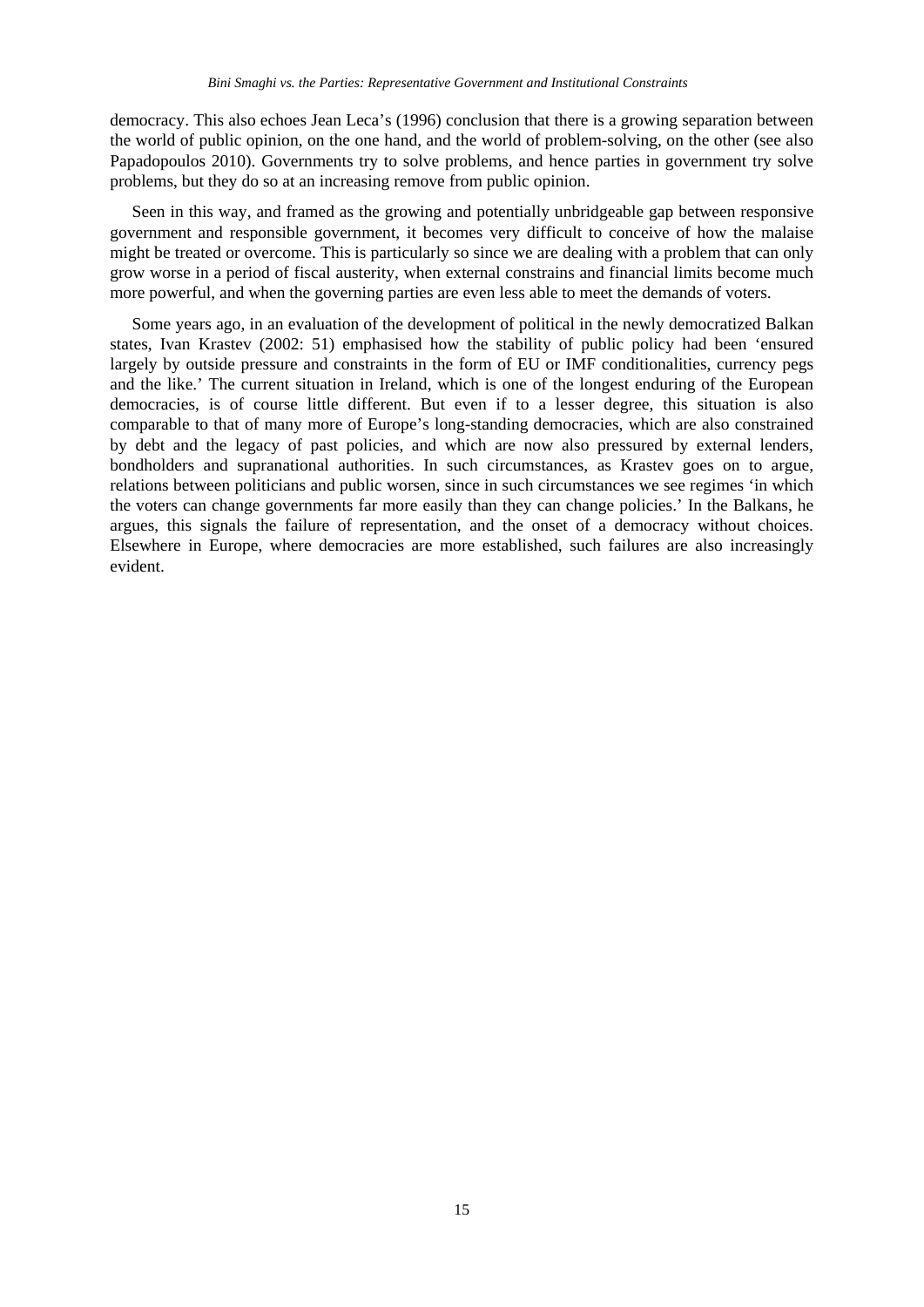democracy. This also echoes Jean Leca's (1996) conclusion that there is a growing separation between the world of public opinion, on the one hand, and the world of problem-solving, on the other (see also Papadopoulos 2010). Governments try to solve problems, and hence parties in government try solve problems, but they do so at an increasing remove from public opinion.

Seen in this way, and framed as the growing and potentially unbridgeable gap between responsive government and responsible government, it becomes very difficult to conceive of how the malaise might be treated or overcome. This is particularly so since we are dealing with a problem that can only grow worse in a period of fiscal austerity, when external constrains and financial limits become much more powerful, and when the governing parties are even less able to meet the demands of voters.

Some years ago, in an evaluation of the development of political in the newly democratized Balkan states, Ivan Krastev (2002: 51) emphasised how the stability of public policy had been 'ensured largely by outside pressure and constraints in the form of EU or IMF conditionalities, currency pegs and the like.' The current situation in Ireland, which is one of the longest enduring of the European democracies, is of course little different. But even if to a lesser degree, this situation is also comparable to that of many more of Europe's long-standing democracies, which are also constrained by debt and the legacy of past policies, and which are now also pressured by external lenders, bondholders and supranational authorities. In such circumstances, as Krastev goes on to argue, relations between politicians and public worsen, since in such circumstances we see regimes 'in which the voters can change governments far more easily than they can change policies.' In the Balkans, he argues, this signals the failure of representation, and the onset of a democracy without choices. Elsewhere in Europe, where democracies are more established, such failures are also increasingly evident.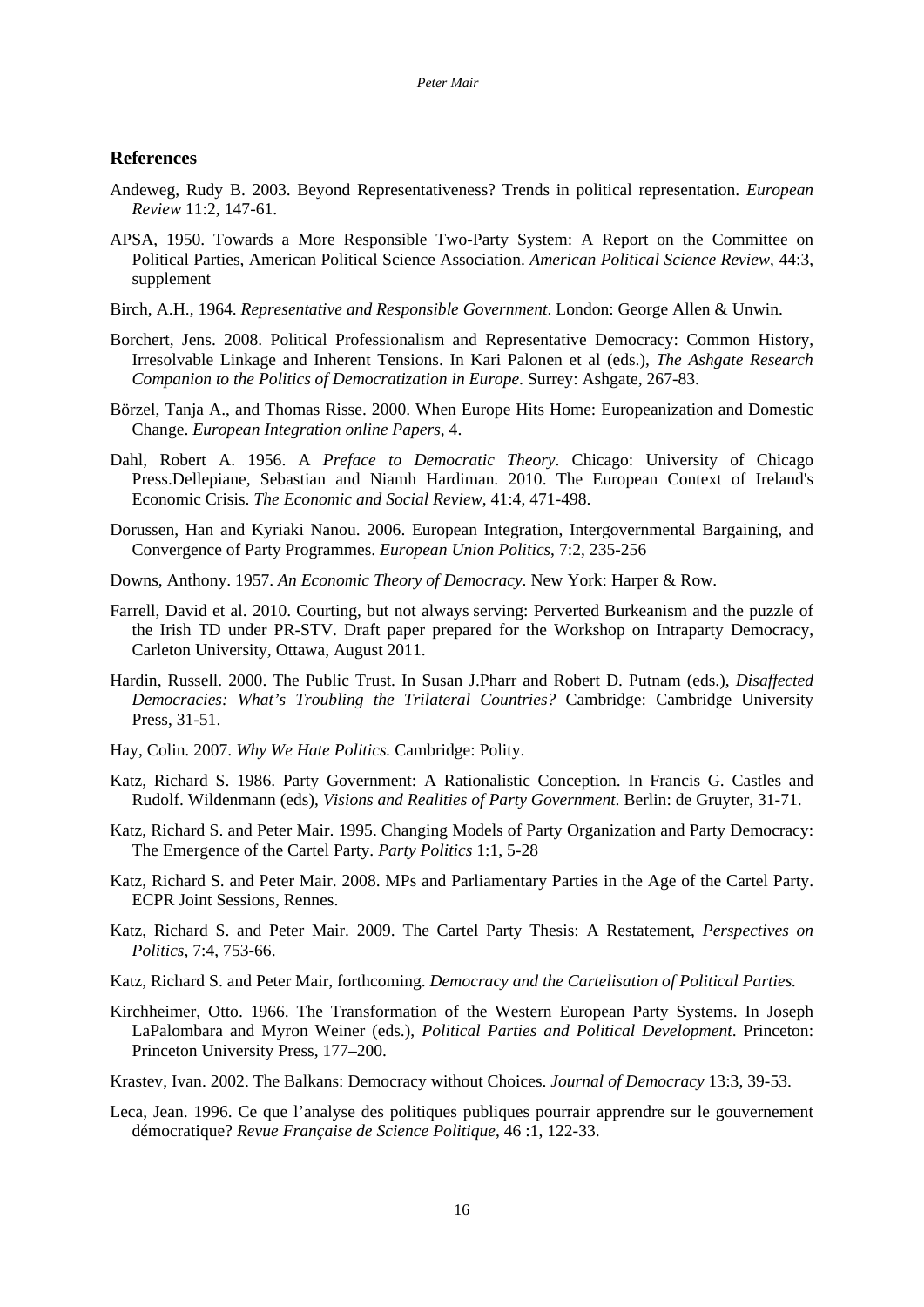#### **References**

- Andeweg, Rudy B. 2003. Beyond Representativeness? Trends in political representation. *European Review* 11:2, 147-61.
- APSA, 1950. Towards a More Responsible Two-Party System: A Report on the Committee on Political Parties, American Political Science Association. *American Political Science Review*, 44:3, supplement
- Birch, A.H., 1964. *Representative and Responsible Government*. London: George Allen & Unwin.
- Borchert, Jens. 2008. Political Professionalism and Representative Democracy: Common History, Irresolvable Linkage and Inherent Tensions. In Kari Palonen et al (eds.), *The Ashgate Research Companion to the Politics of Democratization in Europe*. Surrey: Ashgate, 267-83.
- Börzel, Tanja A., and Thomas Risse. 2000. When Europe Hits Home: Europeanization and Domestic Change. *European Integration online Papers*, 4.
- Dahl, Robert A. 1956. A *Preface to Democratic Theory*. Chicago: University of Chicago Press.Dellepiane, Sebastian and Niamh Hardiman. 2010. The European Context of Ireland's Economic Crisis. *The Economic and Social Review*, 41:4, 471-498.
- Dorussen, Han and Kyriaki Nanou. 2006. European Integration, Intergovernmental Bargaining, and Convergence of Party Programmes. *European Union Politics*, 7:2, 235-256
- Downs, Anthony. 1957. *An Economic Theory of Democracy*. New York: Harper & Row.
- Farrell, David et al. 2010. Courting, but not always serving: Perverted Burkeanism and the puzzle of the Irish TD under PR-STV. Draft paper prepared for the Workshop on Intraparty Democracy, Carleton University, Ottawa, August 2011.
- Hardin, Russell. 2000. The Public Trust. In Susan J.Pharr and Robert D. Putnam (eds.), *Disaffected Democracies: What's Troubling the Trilateral Countries?* Cambridge: Cambridge University Press, 31-51.
- Hay, Colin. 2007. *Why We Hate Politics.* Cambridge: Polity.
- Katz, Richard S. 1986. Party Government: A Rationalistic Conception. In Francis G. Castles and Rudolf. Wildenmann (eds), *Visions and Realities of Party Government*. Berlin: de Gruyter, 31-71.
- Katz, Richard S. and Peter Mair. 1995. Changing Models of Party Organization and Party Democracy: The Emergence of the Cartel Party. *Party Politics* 1:1, 5-28
- Katz, Richard S. and Peter Mair. 2008. MPs and Parliamentary Parties in the Age of the Cartel Party. ECPR Joint Sessions, Rennes.
- Katz, Richard S. and Peter Mair. 2009. The Cartel Party Thesis: A Restatement, *Perspectives on Politics*, 7:4, 753-66.
- Katz, Richard S. and Peter Mair, forthcoming. *Democracy and the Cartelisation of Political Parties.*
- Kirchheimer, Otto. 1966. The Transformation of the Western European Party Systems. In Joseph LaPalombara and Myron Weiner (eds.), *Political Parties and Political Development*. Princeton: Princeton University Press, 177–200.
- Krastev, Ivan. 2002. The Balkans: Democracy without Choices. *Journal of Democracy* 13:3, 39-53.
- Leca, Jean. 1996. Ce que l'analyse des politiques publiques pourrair apprendre sur le gouvernement démocratique? *Revue Française de Science Politique*, 46 :1, 122-33.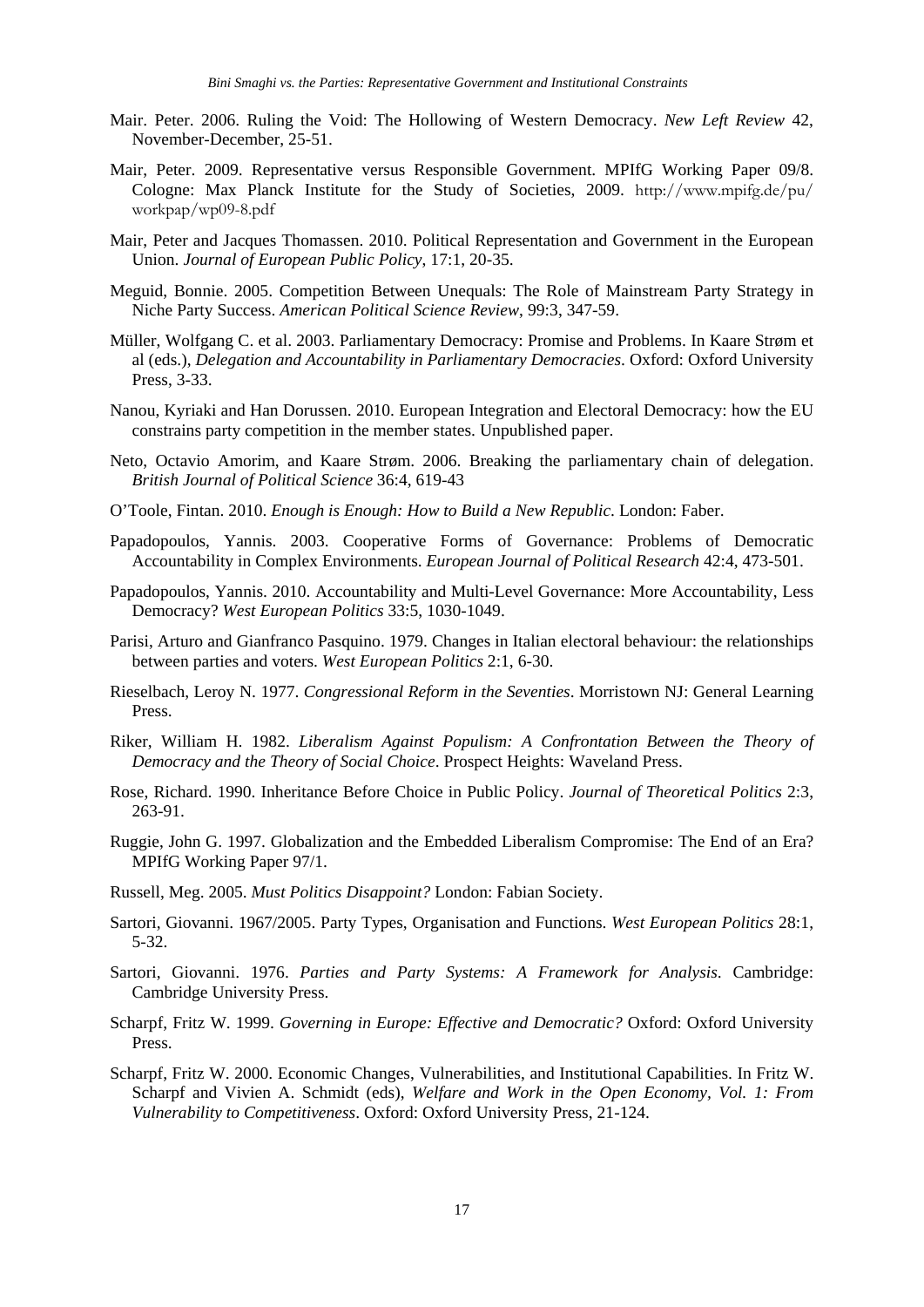- Mair. Peter. 2006. Ruling the Void: The Hollowing of Western Democracy. *New Left Review* 42, November-December, 25-51.
- Mair, Peter. 2009. Representative versus Responsible Government. MPIfG Working Paper 09/8. Cologne: Max Planck Institute for the Study of Societies, 2009. <http://www.mpifg.de/pu/> workpap/wp09-8.pdf
- Mair, Peter and Jacques Thomassen. 2010. Political Representation and Government in the European Union. *Journal of European Public Policy*, 17:1, 20-35.
- Meguid, Bonnie. 2005. Competition Between Unequals: The Role of Mainstream Party Strategy in Niche Party Success. *American Political Science Review*, 99:3, 347-59.
- Müller, Wolfgang C. et al. 2003. Parliamentary Democracy: Promise and Problems. In Kaare Strøm et al (eds.), *Delegation and Accountability in Parliamentary Democracies*. Oxford: Oxford University Press, 3-33.
- Nanou, Kyriaki and Han Dorussen. 2010. European Integration and Electoral Democracy: how the EU constrains party competition in the member states. Unpublished paper.
- Neto, Octavio Amorim, and Kaare Strøm. 2006. Breaking the parliamentary chain of delegation. *British Journal of Political Science* 36:4, 619-43
- O'Toole, Fintan. 2010. *Enough is Enough: How to Build a New Republic*. London: Faber.
- Papadopoulos, Yannis. 2003. Cooperative Forms of Governance: Problems of Democratic Accountability in Complex Environments. *European Journal of Political Research* 42:4, 473-501.
- Papadopoulos, Yannis. 2010. Accountability and Multi-Level Governance: More Accountability, Less Democracy? *West European Politics* 33:5, 1030-1049.
- Parisi, Arturo and Gianfranco Pasquino. 1979. Changes in Italian electoral behaviour: the relationships between parties and voters. *West European Politics* 2:1, 6-30.
- Rieselbach, Leroy N. 1977. *Congressional Reform in the Seventies*. Morristown NJ: General Learning Press.
- Riker, William H. 1982. *Liberalism Against Populism: A Confrontation Between the Theory of Democracy and the Theory of Social Choice*. Prospect Heights: Waveland Press.
- Rose, Richard. 1990. Inheritance Before Choice in Public Policy. *Journal of Theoretical Politics* 2:3, 263-91.
- Ruggie, John G. 1997. Globalization and the Embedded Liberalism Compromise: The End of an Era? MPIfG Working Paper 97/1.
- Russell, Meg. 2005. *Must Politics Disappoint?* London: Fabian Society.
- Sartori, Giovanni. 1967/2005. Party Types, Organisation and Functions. *West European Politics* 28:1, 5-32.
- Sartori, Giovanni. 1976. *Parties and Party Systems: A Framework for Analysis*. Cambridge: Cambridge University Press.
- Scharpf, Fritz W. 1999. *Governing in Europe: Effective and Democratic?* Oxford: Oxford University Press.
- Scharpf, Fritz W. 2000. Economic Changes, Vulnerabilities, and Institutional Capabilities. In Fritz W. Scharpf and Vivien A. Schmidt (eds), *Welfare and Work in the Open Economy, Vol. 1: From Vulnerability to Competitiveness*. Oxford: Oxford University Press, 21-124.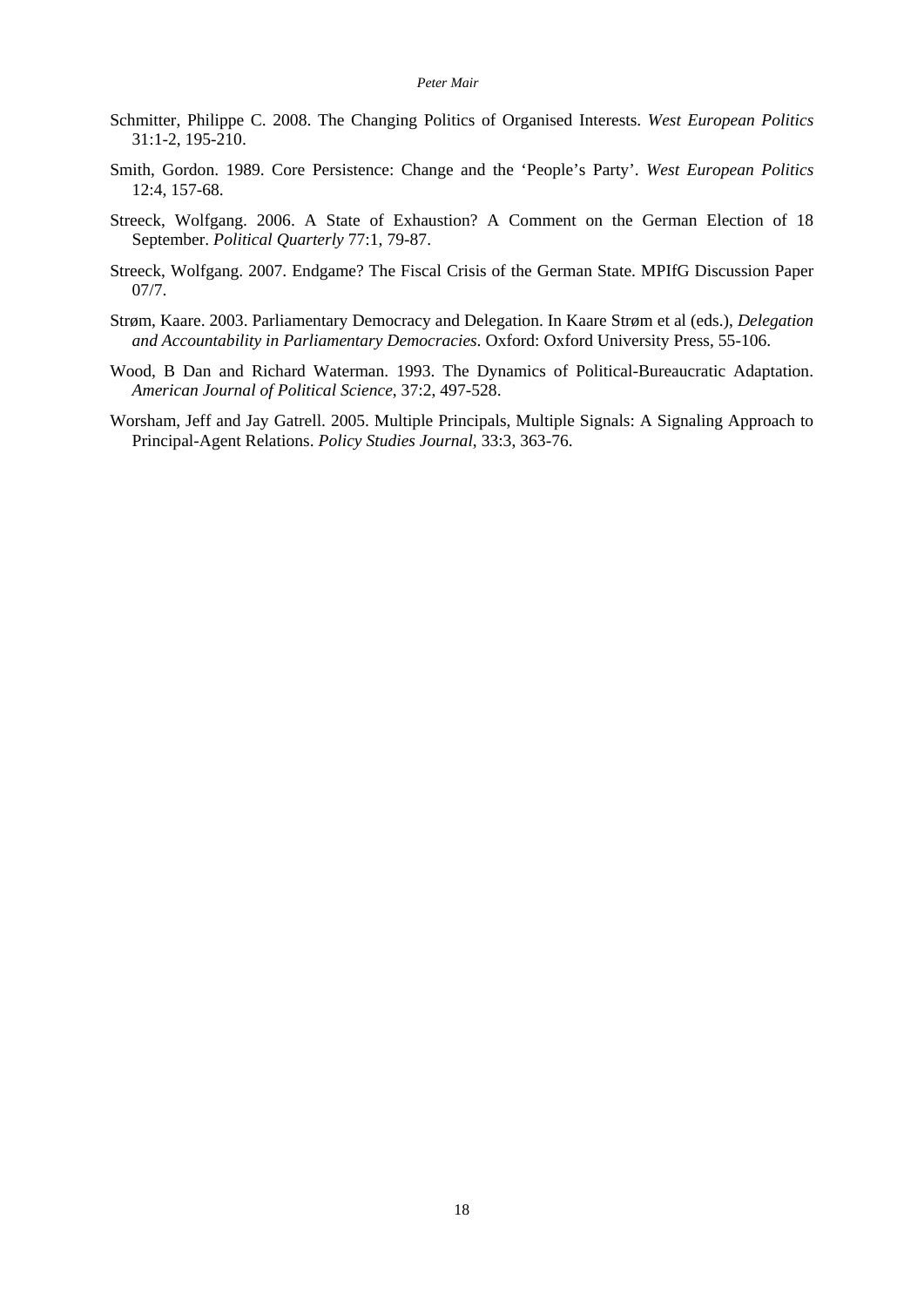- Schmitter, Philippe C. 2008. The Changing Politics of Organised Interests. *West European Politics*  31:1-2, 195-210.
- Smith, Gordon. 1989. Core Persistence: Change and the 'People's Party'. *West European Politics* 12:4, 157-68.
- Streeck, Wolfgang. 2006. A State of Exhaustion? A Comment on the German Election of 18 September. *Political Quarterly* 77:1, 79-87.
- Streeck, Wolfgang. 2007. Endgame? The Fiscal Crisis of the German State. MPIfG Discussion Paper 07/7.
- Strøm, Kaare. 2003. Parliamentary Democracy and Delegation. In Kaare Strøm et al (eds.), *Delegation and Accountability in Parliamentary Democracies*. Oxford: Oxford University Press, 55-106.
- Wood, B Dan and Richard Waterman. 1993. The Dynamics of Political-Bureaucratic Adaptation. *American Journal of Political Science*, 37:2, 497-528.
- Worsham, Jeff and Jay Gatrell. 2005. Multiple Principals, Multiple Signals: A Signaling Approach to Principal-Agent Relations. *Policy Studies Journal*, 33:3, 363-76.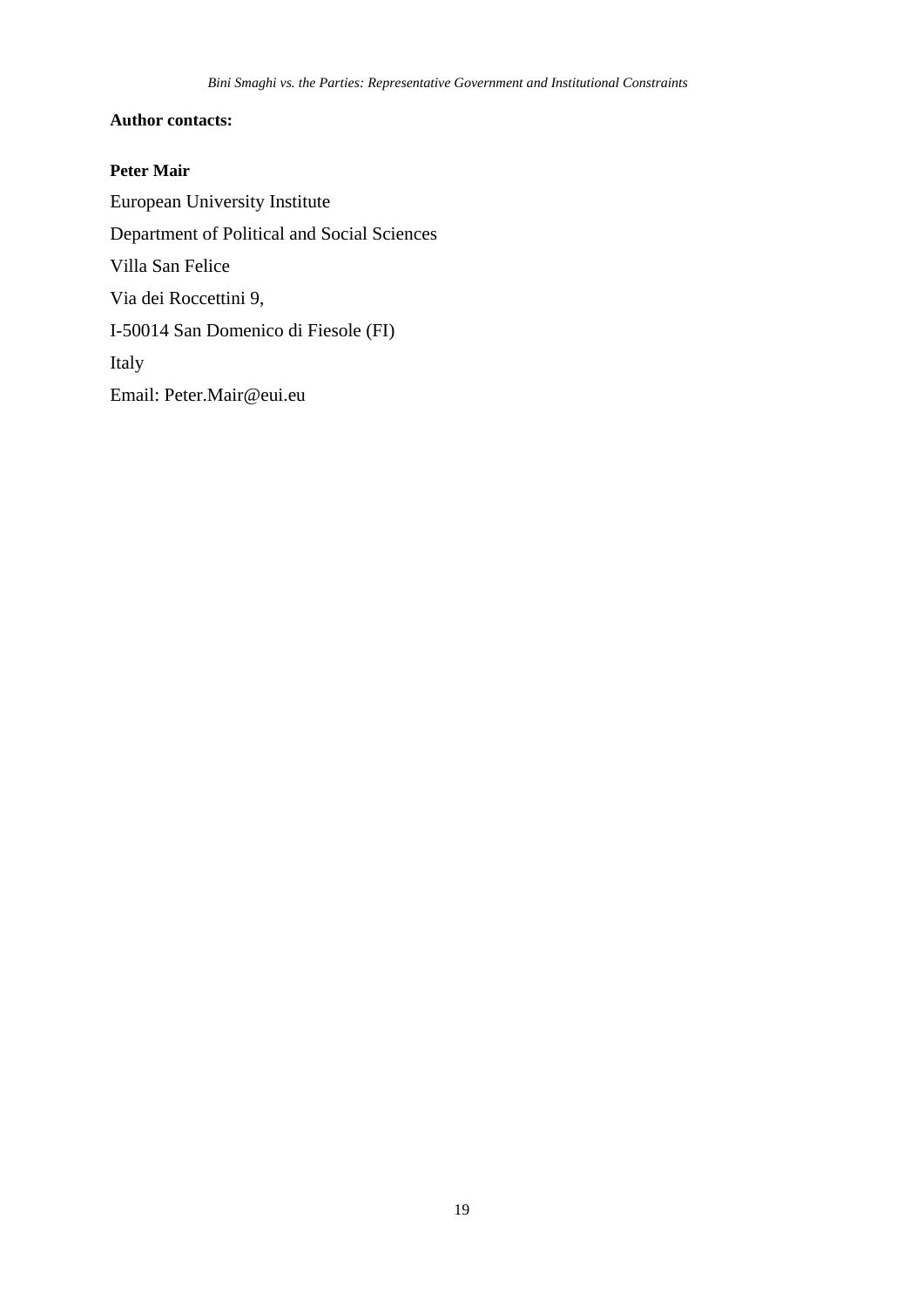# **Author contacts:**

# **Peter Mair**

European University Institute Department of Political and Social Sciences Villa San Felice Via dei Roccettini 9, I-50014 San Domenico di Fiesole (FI) Italy

Email: [Peter.Mair@eui.eu](mailto:Peter.Mair@eui.eu)